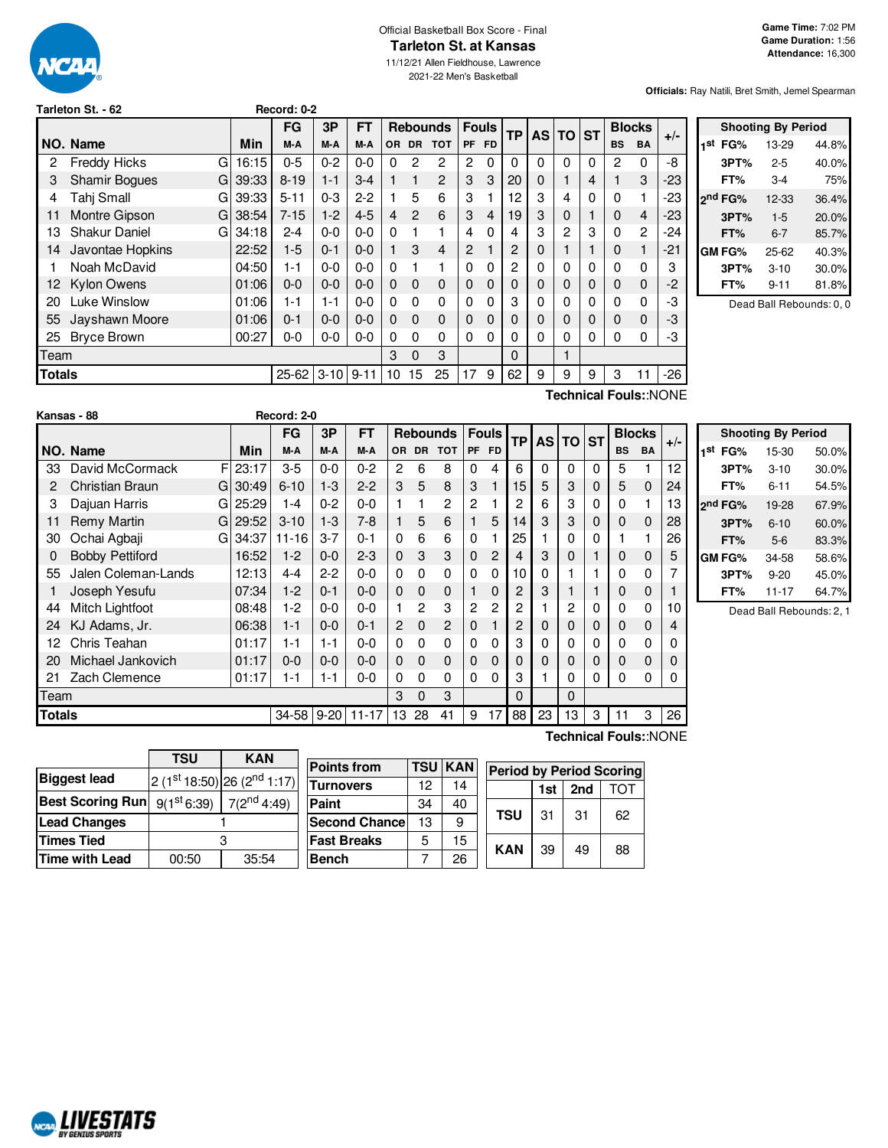

#### Official Basketball Box Score - Final **Tarleton St. at Kansas**

11/12/21 Allen Fieldhouse, Lawrence

2021-22 Men's Basketball

**Officials:** Ray Natili, Bret Smith, Jemel Spearman

| Tarleton St. - 62 |  |  |
|-------------------|--|--|
|                   |  |  |

|        |                           |       | FG        | 3P       | FT       |     |               | <b>Rebounds</b> | <b>Fouls</b> |                | <b>TP</b> | AS I | <b>TO</b>      | <b>ST</b> |           | <b>Blocks</b>  | $+/-$ |
|--------|---------------------------|-------|-----------|----------|----------|-----|---------------|-----------------|--------------|----------------|-----------|------|----------------|-----------|-----------|----------------|-------|
|        | NO. Name                  | Min   | M-A       | M-A      | M-A      | OR. |               | DR TOT          | <b>PF</b>    | <b>FD</b>      |           |      |                |           | <b>BS</b> | <b>BA</b>      |       |
| 2      | <b>Freddy Hicks</b><br>G  | 16:15 | $0 - 5$   | $0 - 2$  | $0 - 0$  | 0   | 2             | $\overline{c}$  | 2            | $\Omega$       | 0         | 0    | 0              | 0         | 2         | 0              | -8    |
| З      | <b>Shamir Boques</b><br>G | 39:33 | $8 - 19$  | $1 - 1$  | $3-4$    |     |               | $\overline{2}$  | 3            | 3              | 20        | 0    |                | 4         |           | 3              | -23   |
| 4      | Tahi Small<br>G           | 39:33 | $5 - 11$  | $0 - 3$  | $2-2$    |     | 5             | 6               | 3            |                | 12        | 3    | 4              | 0         | 0         | 1              | -23   |
| 11     | Montre Gipson<br>G        | 38:54 | $7 - 15$  | $1-2$    | $4 - 5$  | 4   | $\mathcal{P}$ | 6               | 3            | $\overline{4}$ | 19        | 3    | 0              |           | $\Omega$  | $\overline{4}$ | $-23$ |
| 13     | <b>Shakur Daniel</b><br>G | 34:18 | $2 - 4$   | $0 - 0$  | $0 - 0$  | 0   |               | 1               | 4            | 0              | 4         | 3    | $\overline{2}$ | 3         | 0         | $\overline{2}$ | $-24$ |
| 14     | Javontae Hopkins          | 22:52 | $1-5$     | $0 - 1$  | $0 - 0$  |     | 3             | $\overline{4}$  | 2            |                | 2         | 0    |                |           | $\Omega$  | 1              | -21   |
|        | Noah McDavid              | 04:50 | 1-1       | $0-0$    | $0 - 0$  | 0   |               | 1               | 0            | 0              | 2         | 0    | 0              | 0         | 0         | 0              | 3     |
| 12.    | <b>Kylon Owens</b>        | 01:06 | $0 - 0$   | $0 - 0$  | $0 - 0$  | 0   | $\mathbf 0$   | $\mathbf 0$     | 0            | 0              | 0         | 0    | 0              | 0         | $\Omega$  | $\mathbf 0$    | -2    |
| 20     | Luke Winslow              | 01:06 | 1-1       | 1-1      | $0 - 0$  | 0   | $\Omega$      | $\Omega$        | $\Omega$     | 0              | 3         | 0    | 0              | 0         | $\Omega$  | 0              | -3    |
| 55     | Jayshawn Moore            | 01:06 | $0 - 1$   | $0 - 0$  | $0 - 0$  | 0   | $\Omega$      | $\mathbf 0$     | 0            | $\Omega$       | 0         | 0    | 0              | 0         | 0         | $\mathbf 0$    | -3    |
| 25     | <b>Bryce Brown</b>        | 00:27 | 0-0       | $0-0$    | $0 - 0$  | 0   | 0             | $\Omega$        | 0            | 0              | 0         | 0    | 0              | 0         | 0         | 0              | -3    |
| Team   |                           |       |           |          |          |     |               | 3               |              |                | 0         |      |                |           |           |                |       |
| Totals |                           |       | $25 - 62$ | $3 - 10$ | $9 - 11$ | 10  | 15            | 25              | 17           | 9              | 62        | 9    | 9              | 9         | 3         | 11             | $-26$ |

**Tarleton St. - 62 Record: 0-2**

**Shooting By Period 1 st FG%** 13-29 44.8% **3PT%** 2-5 40.0% **FT%** 3-4 75% **2 nd FG%** 12-33 36.4% **3PT%** 1-5 20.0% **FT%** 6-7 85.7% **GM FG%** 25-62 40.3% **3PT%** 3-10 30.0% **FT%** 9-11 81.8%

Dead Ball Rebounds: 0, 0

|      |                        |    |          |             |         |           |                |              |                 |                |                |           |   |              |           |           |               | Technical Fouls::NONE |                 |
|------|------------------------|----|----------|-------------|---------|-----------|----------------|--------------|-----------------|----------------|----------------|-----------|---|--------------|-----------|-----------|---------------|-----------------------|-----------------|
|      | Kansas - 88            |    |          | Record: 2-0 |         |           |                |              |                 |                |                |           |   |              |           |           |               |                       |                 |
|      |                        |    |          | <b>FG</b>   | 3P      | <b>FT</b> |                |              | <b>Rebounds</b> |                | <b>Fouls</b>   | <b>TP</b> |   | <b>AS TO</b> | <b>ST</b> |           | <b>Blocks</b> | $+/-$                 |                 |
|      | NO. Name               |    | Min      | M-A         | M-A     | M-A       | <b>OR</b>      | <b>DR</b>    | <b>TOT</b>      | PF             | <b>FD</b>      |           |   |              |           | <b>BS</b> | <b>BA</b>     |                       | 1st             |
| 33   | David McCormack        | F  | 23:17    | $3-5$       | $0 - 0$ | $0 - 2$   | 2              | 6            | 8               | 0              | 4              | 6         | 0 | $\Omega$     | 0         | 5         |               | 12                    |                 |
| 2    | <b>Christian Braun</b> | G  | 30:49    | $6 - 10$    | $1 - 3$ | $2 - 2$   | 3              | 5            | 8               | 3              |                | 15        | 5 | 3            | 0         | 5         | 0             | 24                    |                 |
| 3    | Dajuan Harris          | GI | 25:29    | $1 - 4$     | $0 - 2$ | $0 - 0$   |                |              | 2               | $\mathbf{2}$   |                | 2         | 6 | 3            | 0         | 0         |               | 13                    | <sub>2</sub> nd |
| 11   | Remy Martin            |    | GI 29:52 | $3 - 10$    | $1 - 3$ | $7-8$     |                | 5            | 6               |                | 5              | 14        | 3 | 3            | 0         | 0         | 0             | 28                    |                 |
| 30   | Ochai Agbaji           | GI | 34:37    | $11 - 16$   | $3 - 7$ | $0 - 1$   | $\Omega$       | 6            | 6               | 0              |                | 25        |   | 0            | 0         |           |               | 26                    |                 |
| 0    | <b>Bobby Pettiford</b> |    | 16:52    | $1-2$       | $0 - 0$ | $2 - 3$   | $\mathbf 0$    | 3            | 3               | $\mathbf{0}$   | $\overline{2}$ | 4         | 3 | $\mathbf 0$  |           | 0         | 0             | 5                     | GM              |
| 55   | Jalen Coleman-Lands    |    | 12:13    | $4 - 4$     | $2 - 2$ | $0 - 0$   | $\Omega$       | $\Omega$     | 0               | 0              | 0              | 10        | 0 |              |           | 0         | 0             |                       |                 |
|      | Joseph Yesufu          |    | 07:34    | $1 - 2$     | $0 - 1$ | $0 - 0$   | $\Omega$       | $\Omega$     | 0               |                | $\Omega$       | 2         | 3 |              |           | 0         | 0             |                       |                 |
| 44   | Mitch Lightfoot        |    | 08:48    | $1-2$       | $0-0$   | $0 - 0$   |                | $\mathbf{2}$ | 3               | $\overline{2}$ | $\overline{2}$ | 2         |   | 2            | 0         | 0         | 0             | 10                    |                 |
| 24   | KJ Adams, Jr.          |    | 06:38    | $1 - 1$     | $0 - 0$ | $0 - 1$   | $\overline{2}$ | $\Omega$     | 2               | $\mathbf 0$    |                | 2         | 0 | 0            | 0         | 0         | 0             | 4                     |                 |
| 12   | Chris Teahan           |    | 01:17    | $1 - 1$     | $1 - 1$ | $0 - 0$   | $\Omega$       | 0            | 0               | 0              | 0              | 3         | 0 | 0            | 0         | 0         | 0             | 0                     |                 |
| 20   | Michael Jankovich      |    | 01:17    | $0 - 0$     | $0 - 0$ | $0 - 0$   | $\mathbf 0$    | $\Omega$     | 0               | 0              | $\Omega$       | 0         | 0 | 0            | 0         | 0         | 0             | 0                     |                 |
| 21   | Zach Clemence          |    | 01:17    | $1 - 1$     | $1 - 1$ | $0 - 0$   | $\Omega$       | 0            | 0               | 0              | 0              | 3         |   | 0            | 0         | 0         | 0             | 0                     |                 |
| Team |                        |    |          |             |         |           | 3              | $\Omega$     | 3               |                |                | 0         |   | 0            |           |           |               |                       |                 |

**Totals** 34-58 9-20 11-17 13 28 41 | 9 17 | 88 | 23 | 13 | 21 | 3 | 26

|     |                     | <b>Shooting By Period</b> |       |
|-----|---------------------|---------------------------|-------|
| 1st | FG%                 | 15-30                     | 50.0% |
|     | 3PT%                | $3 - 10$                  | 30.0% |
|     | FT%                 | $6 - 11$                  | 54.5% |
|     | 2 <sup>nd</sup> FG% | 19-28                     | 67.9% |
|     | 3PT%                | $6 - 10$                  | 60.0% |
|     | FT%                 | $5-6$                     | 83.3% |
|     | GM FG%              | 34-58                     | 58.6% |
|     | 3PT%                | $9 - 20$                  | 45.0% |
|     | FT%                 | $11 - 17$                 | 64.7% |

Dead Ball Rebounds: 2, 1

|                         | <b>TSU</b>              | <b>KAN</b>                                 |  |  |  |  |  |
|-------------------------|-------------------------|--------------------------------------------|--|--|--|--|--|
| <b>Biggest lead</b>     |                         | $2(1^{st}18:50)$ 26 (2 <sup>nd</sup> 1:17) |  |  |  |  |  |
| <b>Best Scoring Run</b> | 9(1 <sup>st</sup> 6:39) | $7(2^{nd}4:49)$                            |  |  |  |  |  |
| <b>Lead Changes</b>     |                         |                                            |  |  |  |  |  |
| <b>Times Tied</b>       |                         |                                            |  |  |  |  |  |
| Time with Lead          | 00:50                   | 35:54                                      |  |  |  |  |  |

NCAL LIVESTATS

| <b>Points from</b>    |    | <b>TSU KAN</b> | <b>Period by Period Scoring</b> |            |     |     |    |  |  |  |  |  |
|-----------------------|----|----------------|---------------------------------|------------|-----|-----|----|--|--|--|--|--|
| <b>Turnovers</b>      | 12 | 14             |                                 |            | 1st | 2nd |    |  |  |  |  |  |
| Paint                 | 34 | 40             |                                 |            |     |     |    |  |  |  |  |  |
| <b>Second Chancel</b> | 13 | 9              |                                 | <b>TSU</b> | 31  | 31  | 62 |  |  |  |  |  |
| <b>Fast Breaks</b>    | 5  | 15             |                                 |            |     |     |    |  |  |  |  |  |
| <b>Bench</b>          |    | 26             |                                 | <b>KAN</b> | 39  | 49  | 88 |  |  |  |  |  |

**Technical Fouls:**:NONE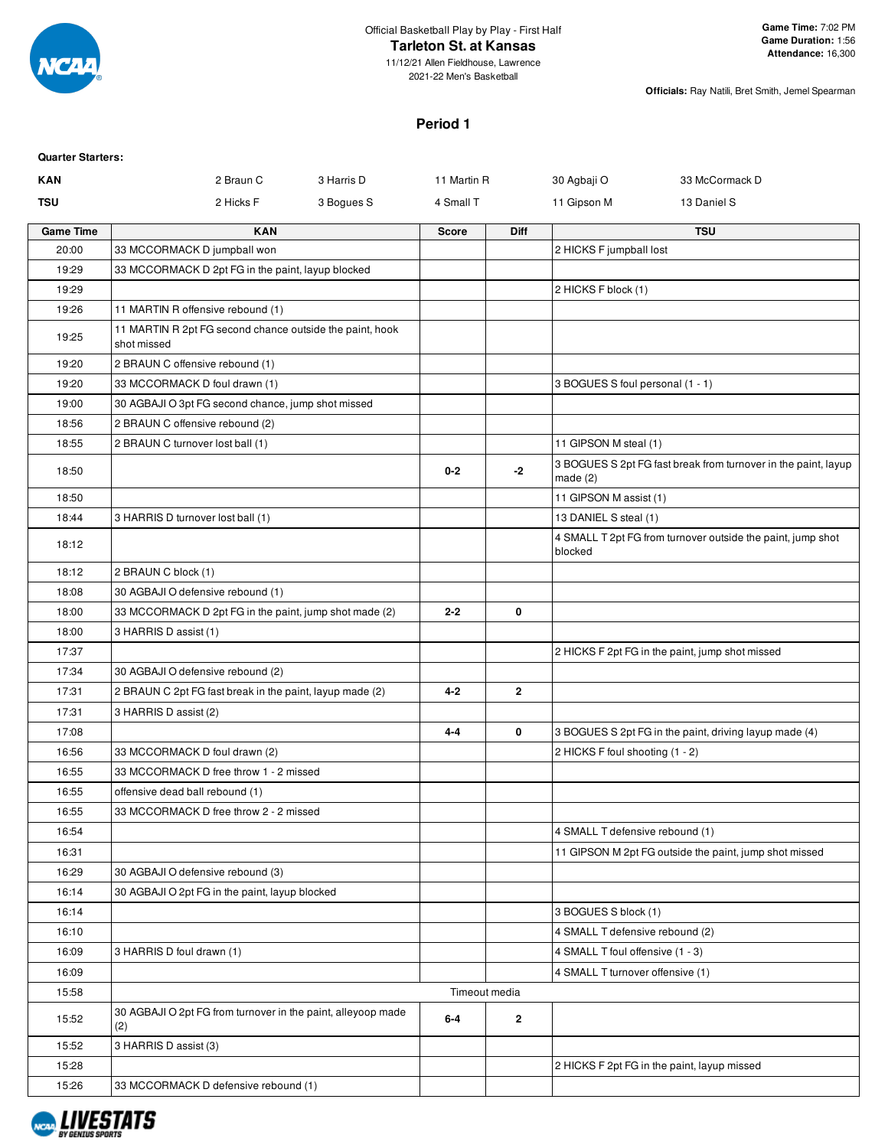

# **Tarleton St. at Kansas**

11/12/21 Allen Fieldhouse, Lawrence 2021-22 Men's Basketball

**Officials:** Ray Natili, Bret Smith, Jemel Spearman

## **Period 1**

| <b>Quarter Starters:</b> |                                                                         |            |               |                |                                  |                                                                |
|--------------------------|-------------------------------------------------------------------------|------------|---------------|----------------|----------------------------------|----------------------------------------------------------------|
| <b>KAN</b>               | 2 Braun C                                                               | 3 Harris D | 11 Martin R   |                | 30 Agbaji O                      | 33 McCormack D                                                 |
| <b>TSU</b>               | 2 Hicks F                                                               | 3 Bogues S | 4 Small T     |                | 11 Gipson M                      | 13 Daniel S                                                    |
| <b>Game Time</b>         | <b>KAN</b>                                                              |            | <b>Score</b>  | <b>Diff</b>    |                                  | <b>TSU</b>                                                     |
| 20:00                    | 33 MCCORMACK D jumpball won                                             |            |               |                | 2 HICKS F jumpball lost          |                                                                |
| 19:29                    | 33 MCCORMACK D 2pt FG in the paint, layup blocked                       |            |               |                |                                  |                                                                |
| 19:29                    |                                                                         |            |               |                | 2 HICKS F block (1)              |                                                                |
| 19:26                    | 11 MARTIN R offensive rebound (1)                                       |            |               |                |                                  |                                                                |
| 19:25                    | 11 MARTIN R 2pt FG second chance outside the paint, hook<br>shot missed |            |               |                |                                  |                                                                |
| 19:20                    | 2 BRAUN C offensive rebound (1)                                         |            |               |                |                                  |                                                                |
| 19:20                    | 33 MCCORMACK D foul drawn (1)                                           |            |               |                | 3 BOGUES S foul personal (1 - 1) |                                                                |
| 19:00                    | 30 AGBAJI O 3pt FG second chance, jump shot missed                      |            |               |                |                                  |                                                                |
| 18:56                    | 2 BRAUN C offensive rebound (2)                                         |            |               |                |                                  |                                                                |
| 18:55                    | 2 BRAUN C turnover lost ball (1)                                        |            |               |                | 11 GIPSON M steal (1)            |                                                                |
| 18:50                    |                                                                         |            | $0 - 2$       | $-2$           | made $(2)$                       | 3 BOGUES S 2pt FG fast break from turnover in the paint, layup |
| 18:50                    |                                                                         |            |               |                | 11 GIPSON M assist (1)           |                                                                |
| 18:44                    | 3 HARRIS D turnover lost ball (1)                                       |            |               |                | 13 DANIEL S steal (1)            |                                                                |
| 18:12                    |                                                                         |            |               |                | blocked                          | 4 SMALL T 2pt FG from turnover outside the paint, jump shot    |
| 18:12                    | 2 BRAUN C block (1)                                                     |            |               |                |                                  |                                                                |
| 18:08                    | 30 AGBAJI O defensive rebound (1)                                       |            |               |                |                                  |                                                                |
| 18:00                    | 33 MCCORMACK D 2pt FG in the paint, jump shot made (2)                  |            | $2 - 2$       | 0              |                                  |                                                                |
| 18:00                    | 3 HARRIS D assist (1)                                                   |            |               |                |                                  |                                                                |
| 17:37                    |                                                                         |            |               |                |                                  | 2 HICKS F 2pt FG in the paint, jump shot missed                |
| 17:34                    | 30 AGBAJI O defensive rebound (2)                                       |            |               |                |                                  |                                                                |
| 17:31                    | 2 BRAUN C 2pt FG fast break in the paint, layup made (2)                |            | 4-2           | $\overline{2}$ |                                  |                                                                |
| 17:31                    | 3 HARRIS D assist (2)                                                   |            |               |                |                                  |                                                                |
| 17:08                    |                                                                         |            | $4 - 4$       | 0              |                                  | 3 BOGUES S 2pt FG in the paint, driving layup made (4)         |
| 16:56                    | 33 MCCORMACK D foul drawn (2)                                           |            |               |                | 2 HICKS F foul shooting (1 - 2)  |                                                                |
| 16:55                    | 33 MCCORMACK D free throw 1 - 2 missed                                  |            |               |                |                                  |                                                                |
| 16:55                    | offensive dead ball rebound (1)                                         |            |               |                |                                  |                                                                |
| 16:55                    | 33 MCCORMACK D free throw 2 - 2 missed                                  |            |               |                |                                  |                                                                |
| 16:54                    |                                                                         |            |               |                | 4 SMALL T defensive rebound (1)  |                                                                |
| 16:31                    |                                                                         |            |               |                |                                  | 11 GIPSON M 2pt FG outside the paint, jump shot missed         |
| 16:29                    | 30 AGBAJI O defensive rebound (3)                                       |            |               |                |                                  |                                                                |
| 16:14                    | 30 AGBAJI O 2pt FG in the paint, layup blocked                          |            |               |                |                                  |                                                                |
| 16:14                    |                                                                         |            |               |                | 3 BOGUES S block (1)             |                                                                |
| 16:10                    |                                                                         |            |               |                | 4 SMALL T defensive rebound (2)  |                                                                |
| 16:09                    | 3 HARRIS D foul drawn (1)                                               |            |               |                | 4 SMALL T foul offensive (1 - 3) |                                                                |
| 16:09                    |                                                                         |            |               |                | 4 SMALL T turnover offensive (1) |                                                                |
| 15:58                    |                                                                         |            | Timeout media |                |                                  |                                                                |
| 15:52                    | 30 AGBAJI O 2pt FG from turnover in the paint, alleyoop made<br>(2)     |            | $6-4$         | $\mathbf{2}$   |                                  |                                                                |
| 15:52                    | 3 HARRIS D assist (3)                                                   |            |               |                |                                  |                                                                |
| 15:28                    |                                                                         |            |               |                |                                  | 2 HICKS F 2pt FG in the paint, layup missed                    |
| 15:26                    | 33 MCCORMACK D defensive rebound (1)                                    |            |               |                |                                  |                                                                |

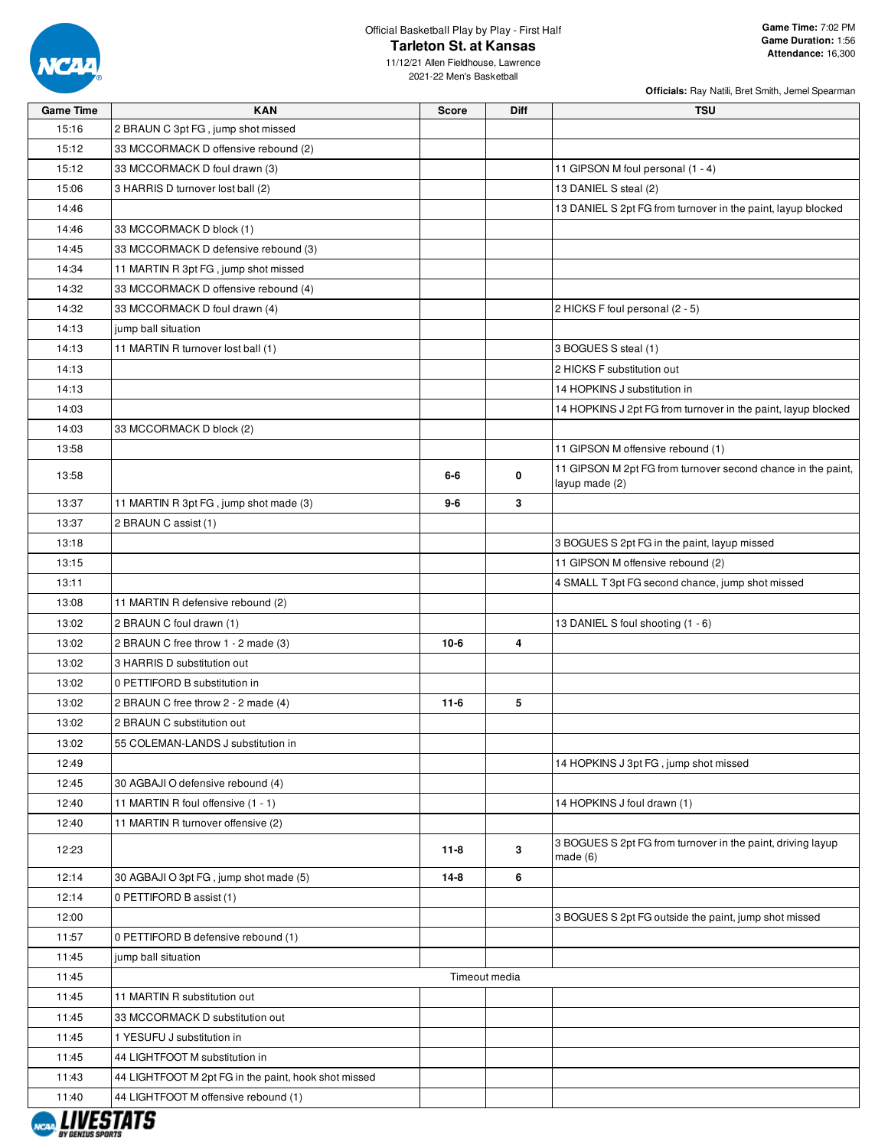

**Officials:** Ray Natili, Bret Smith, Jemel Spearman

11/12/21 Allen Fieldhouse, Lawrence 2021-22 Men's Basketball

| 15:16<br>2 BRAUN C 3pt FG, jump shot missed<br>15:12<br>33 MCCORMACK D offensive rebound (2)<br>15:12<br>33 MCCORMACK D foul drawn (3)<br>11 GIPSON M foul personal (1 - 4)<br>15:06<br>3 HARRIS D turnover lost ball (2)<br>13 DANIEL S steal (2)<br>14:46<br>13 DANIEL S 2pt FG from turnover in the paint, layup blocked<br>14:46<br>33 MCCORMACK D block (1)<br>14:45<br>33 MCCORMACK D defensive rebound (3)<br>14:34<br>11 MARTIN R 3pt FG, jump shot missed<br>14:32<br>33 MCCORMACK D offensive rebound (4)<br>14:32<br>33 MCCORMACK D foul drawn (4)<br>2 HICKS F foul personal (2 - 5)<br>14:13<br>jump ball situation<br>14:13<br>11 MARTIN R turnover lost ball (1)<br>3 BOGUES S steal (1)<br>14:13<br>2 HICKS F substitution out<br>14 HOPKINS J substitution in<br>14:13<br>14:03<br>14 HOPKINS J 2pt FG from turnover in the paint, layup blocked<br>33 MCCORMACK D block (2)<br>14:03<br>11 GIPSON M offensive rebound (1)<br>13:58<br>11 GIPSON M 2pt FG from turnover second chance in the paint,<br>0<br>13:58<br>6-6<br>layup made (2)<br>13:37<br>11 MARTIN R 3pt FG, jump shot made (3)<br>3<br>9-6<br>13:37<br>2 BRAUN C assist (1)<br>13:18<br>3 BOGUES S 2pt FG in the paint, layup missed<br>13:15<br>11 GIPSON M offensive rebound (2)<br>13:11<br>4 SMALL T 3pt FG second chance, jump shot missed<br>13:08<br>11 MARTIN R defensive rebound (2)<br>13:02<br>13 DANIEL S foul shooting (1 - 6)<br>2 BRAUN C foul drawn (1)<br>$10-6$<br>4<br>13:02<br>2 BRAUN C free throw 1 - 2 made (3)<br>13:02<br>3 HARRIS D substitution out<br>13:02<br>0 PETTIFORD B substitution in<br>13:02<br>2 BRAUN C free throw 2 - 2 made (4)<br>$11-6$<br>5<br>13:02<br>2 BRAUN C substitution out<br>13:02<br>55 COLEMAN-LANDS J substitution in<br>12:49<br>14 HOPKINS J 3pt FG, jump shot missed<br>12:45<br>30 AGBAJI O defensive rebound (4)<br>12:40<br>11 MARTIN R foul offensive (1 - 1)<br>14 HOPKINS J foul drawn (1)<br>12:40<br>11 MARTIN R turnover offensive (2)<br>3 BOGUES S 2pt FG from turnover in the paint, driving layup<br>3<br>12:23<br>$11 - 8$<br>made $(6)$<br>6<br>12:14<br>30 AGBAJI O 3pt FG, jump shot made (5)<br>$14-8$<br>12:14<br>0 PETTIFORD B assist (1)<br>12:00<br>3 BOGUES S 2pt FG outside the paint, jump shot missed<br>11:57<br>0 PETTIFORD B defensive rebound (1)<br>11:45<br>jump ball situation | <b>Game Time</b> | <b>KAN</b> | <b>Score</b> | <b>Diff</b> | <b>TSU</b> |
|------------------------------------------------------------------------------------------------------------------------------------------------------------------------------------------------------------------------------------------------------------------------------------------------------------------------------------------------------------------------------------------------------------------------------------------------------------------------------------------------------------------------------------------------------------------------------------------------------------------------------------------------------------------------------------------------------------------------------------------------------------------------------------------------------------------------------------------------------------------------------------------------------------------------------------------------------------------------------------------------------------------------------------------------------------------------------------------------------------------------------------------------------------------------------------------------------------------------------------------------------------------------------------------------------------------------------------------------------------------------------------------------------------------------------------------------------------------------------------------------------------------------------------------------------------------------------------------------------------------------------------------------------------------------------------------------------------------------------------------------------------------------------------------------------------------------------------------------------------------------------------------------------------------------------------------------------------------------------------------------------------------------------------------------------------------------------------------------------------------------------------------------------------------------------------------------------------------------------------------------------------------------------------------------------------------------------------------------------------|------------------|------------|--------------|-------------|------------|
|                                                                                                                                                                                                                                                                                                                                                                                                                                                                                                                                                                                                                                                                                                                                                                                                                                                                                                                                                                                                                                                                                                                                                                                                                                                                                                                                                                                                                                                                                                                                                                                                                                                                                                                                                                                                                                                                                                                                                                                                                                                                                                                                                                                                                                                                                                                                                            |                  |            |              |             |            |
|                                                                                                                                                                                                                                                                                                                                                                                                                                                                                                                                                                                                                                                                                                                                                                                                                                                                                                                                                                                                                                                                                                                                                                                                                                                                                                                                                                                                                                                                                                                                                                                                                                                                                                                                                                                                                                                                                                                                                                                                                                                                                                                                                                                                                                                                                                                                                            |                  |            |              |             |            |
|                                                                                                                                                                                                                                                                                                                                                                                                                                                                                                                                                                                                                                                                                                                                                                                                                                                                                                                                                                                                                                                                                                                                                                                                                                                                                                                                                                                                                                                                                                                                                                                                                                                                                                                                                                                                                                                                                                                                                                                                                                                                                                                                                                                                                                                                                                                                                            |                  |            |              |             |            |
|                                                                                                                                                                                                                                                                                                                                                                                                                                                                                                                                                                                                                                                                                                                                                                                                                                                                                                                                                                                                                                                                                                                                                                                                                                                                                                                                                                                                                                                                                                                                                                                                                                                                                                                                                                                                                                                                                                                                                                                                                                                                                                                                                                                                                                                                                                                                                            |                  |            |              |             |            |
|                                                                                                                                                                                                                                                                                                                                                                                                                                                                                                                                                                                                                                                                                                                                                                                                                                                                                                                                                                                                                                                                                                                                                                                                                                                                                                                                                                                                                                                                                                                                                                                                                                                                                                                                                                                                                                                                                                                                                                                                                                                                                                                                                                                                                                                                                                                                                            |                  |            |              |             |            |
|                                                                                                                                                                                                                                                                                                                                                                                                                                                                                                                                                                                                                                                                                                                                                                                                                                                                                                                                                                                                                                                                                                                                                                                                                                                                                                                                                                                                                                                                                                                                                                                                                                                                                                                                                                                                                                                                                                                                                                                                                                                                                                                                                                                                                                                                                                                                                            |                  |            |              |             |            |
|                                                                                                                                                                                                                                                                                                                                                                                                                                                                                                                                                                                                                                                                                                                                                                                                                                                                                                                                                                                                                                                                                                                                                                                                                                                                                                                                                                                                                                                                                                                                                                                                                                                                                                                                                                                                                                                                                                                                                                                                                                                                                                                                                                                                                                                                                                                                                            |                  |            |              |             |            |
|                                                                                                                                                                                                                                                                                                                                                                                                                                                                                                                                                                                                                                                                                                                                                                                                                                                                                                                                                                                                                                                                                                                                                                                                                                                                                                                                                                                                                                                                                                                                                                                                                                                                                                                                                                                                                                                                                                                                                                                                                                                                                                                                                                                                                                                                                                                                                            |                  |            |              |             |            |
|                                                                                                                                                                                                                                                                                                                                                                                                                                                                                                                                                                                                                                                                                                                                                                                                                                                                                                                                                                                                                                                                                                                                                                                                                                                                                                                                                                                                                                                                                                                                                                                                                                                                                                                                                                                                                                                                                                                                                                                                                                                                                                                                                                                                                                                                                                                                                            |                  |            |              |             |            |
|                                                                                                                                                                                                                                                                                                                                                                                                                                                                                                                                                                                                                                                                                                                                                                                                                                                                                                                                                                                                                                                                                                                                                                                                                                                                                                                                                                                                                                                                                                                                                                                                                                                                                                                                                                                                                                                                                                                                                                                                                                                                                                                                                                                                                                                                                                                                                            |                  |            |              |             |            |
|                                                                                                                                                                                                                                                                                                                                                                                                                                                                                                                                                                                                                                                                                                                                                                                                                                                                                                                                                                                                                                                                                                                                                                                                                                                                                                                                                                                                                                                                                                                                                                                                                                                                                                                                                                                                                                                                                                                                                                                                                                                                                                                                                                                                                                                                                                                                                            |                  |            |              |             |            |
|                                                                                                                                                                                                                                                                                                                                                                                                                                                                                                                                                                                                                                                                                                                                                                                                                                                                                                                                                                                                                                                                                                                                                                                                                                                                                                                                                                                                                                                                                                                                                                                                                                                                                                                                                                                                                                                                                                                                                                                                                                                                                                                                                                                                                                                                                                                                                            |                  |            |              |             |            |
|                                                                                                                                                                                                                                                                                                                                                                                                                                                                                                                                                                                                                                                                                                                                                                                                                                                                                                                                                                                                                                                                                                                                                                                                                                                                                                                                                                                                                                                                                                                                                                                                                                                                                                                                                                                                                                                                                                                                                                                                                                                                                                                                                                                                                                                                                                                                                            |                  |            |              |             |            |
|                                                                                                                                                                                                                                                                                                                                                                                                                                                                                                                                                                                                                                                                                                                                                                                                                                                                                                                                                                                                                                                                                                                                                                                                                                                                                                                                                                                                                                                                                                                                                                                                                                                                                                                                                                                                                                                                                                                                                                                                                                                                                                                                                                                                                                                                                                                                                            |                  |            |              |             |            |
|                                                                                                                                                                                                                                                                                                                                                                                                                                                                                                                                                                                                                                                                                                                                                                                                                                                                                                                                                                                                                                                                                                                                                                                                                                                                                                                                                                                                                                                                                                                                                                                                                                                                                                                                                                                                                                                                                                                                                                                                                                                                                                                                                                                                                                                                                                                                                            |                  |            |              |             |            |
|                                                                                                                                                                                                                                                                                                                                                                                                                                                                                                                                                                                                                                                                                                                                                                                                                                                                                                                                                                                                                                                                                                                                                                                                                                                                                                                                                                                                                                                                                                                                                                                                                                                                                                                                                                                                                                                                                                                                                                                                                                                                                                                                                                                                                                                                                                                                                            |                  |            |              |             |            |
|                                                                                                                                                                                                                                                                                                                                                                                                                                                                                                                                                                                                                                                                                                                                                                                                                                                                                                                                                                                                                                                                                                                                                                                                                                                                                                                                                                                                                                                                                                                                                                                                                                                                                                                                                                                                                                                                                                                                                                                                                                                                                                                                                                                                                                                                                                                                                            |                  |            |              |             |            |
|                                                                                                                                                                                                                                                                                                                                                                                                                                                                                                                                                                                                                                                                                                                                                                                                                                                                                                                                                                                                                                                                                                                                                                                                                                                                                                                                                                                                                                                                                                                                                                                                                                                                                                                                                                                                                                                                                                                                                                                                                                                                                                                                                                                                                                                                                                                                                            |                  |            |              |             |            |
|                                                                                                                                                                                                                                                                                                                                                                                                                                                                                                                                                                                                                                                                                                                                                                                                                                                                                                                                                                                                                                                                                                                                                                                                                                                                                                                                                                                                                                                                                                                                                                                                                                                                                                                                                                                                                                                                                                                                                                                                                                                                                                                                                                                                                                                                                                                                                            |                  |            |              |             |            |
|                                                                                                                                                                                                                                                                                                                                                                                                                                                                                                                                                                                                                                                                                                                                                                                                                                                                                                                                                                                                                                                                                                                                                                                                                                                                                                                                                                                                                                                                                                                                                                                                                                                                                                                                                                                                                                                                                                                                                                                                                                                                                                                                                                                                                                                                                                                                                            |                  |            |              |             |            |
|                                                                                                                                                                                                                                                                                                                                                                                                                                                                                                                                                                                                                                                                                                                                                                                                                                                                                                                                                                                                                                                                                                                                                                                                                                                                                                                                                                                                                                                                                                                                                                                                                                                                                                                                                                                                                                                                                                                                                                                                                                                                                                                                                                                                                                                                                                                                                            |                  |            |              |             |            |
|                                                                                                                                                                                                                                                                                                                                                                                                                                                                                                                                                                                                                                                                                                                                                                                                                                                                                                                                                                                                                                                                                                                                                                                                                                                                                                                                                                                                                                                                                                                                                                                                                                                                                                                                                                                                                                                                                                                                                                                                                                                                                                                                                                                                                                                                                                                                                            |                  |            |              |             |            |
|                                                                                                                                                                                                                                                                                                                                                                                                                                                                                                                                                                                                                                                                                                                                                                                                                                                                                                                                                                                                                                                                                                                                                                                                                                                                                                                                                                                                                                                                                                                                                                                                                                                                                                                                                                                                                                                                                                                                                                                                                                                                                                                                                                                                                                                                                                                                                            |                  |            |              |             |            |
|                                                                                                                                                                                                                                                                                                                                                                                                                                                                                                                                                                                                                                                                                                                                                                                                                                                                                                                                                                                                                                                                                                                                                                                                                                                                                                                                                                                                                                                                                                                                                                                                                                                                                                                                                                                                                                                                                                                                                                                                                                                                                                                                                                                                                                                                                                                                                            |                  |            |              |             |            |
|                                                                                                                                                                                                                                                                                                                                                                                                                                                                                                                                                                                                                                                                                                                                                                                                                                                                                                                                                                                                                                                                                                                                                                                                                                                                                                                                                                                                                                                                                                                                                                                                                                                                                                                                                                                                                                                                                                                                                                                                                                                                                                                                                                                                                                                                                                                                                            |                  |            |              |             |            |
|                                                                                                                                                                                                                                                                                                                                                                                                                                                                                                                                                                                                                                                                                                                                                                                                                                                                                                                                                                                                                                                                                                                                                                                                                                                                                                                                                                                                                                                                                                                                                                                                                                                                                                                                                                                                                                                                                                                                                                                                                                                                                                                                                                                                                                                                                                                                                            |                  |            |              |             |            |
|                                                                                                                                                                                                                                                                                                                                                                                                                                                                                                                                                                                                                                                                                                                                                                                                                                                                                                                                                                                                                                                                                                                                                                                                                                                                                                                                                                                                                                                                                                                                                                                                                                                                                                                                                                                                                                                                                                                                                                                                                                                                                                                                                                                                                                                                                                                                                            |                  |            |              |             |            |
|                                                                                                                                                                                                                                                                                                                                                                                                                                                                                                                                                                                                                                                                                                                                                                                                                                                                                                                                                                                                                                                                                                                                                                                                                                                                                                                                                                                                                                                                                                                                                                                                                                                                                                                                                                                                                                                                                                                                                                                                                                                                                                                                                                                                                                                                                                                                                            |                  |            |              |             |            |
|                                                                                                                                                                                                                                                                                                                                                                                                                                                                                                                                                                                                                                                                                                                                                                                                                                                                                                                                                                                                                                                                                                                                                                                                                                                                                                                                                                                                                                                                                                                                                                                                                                                                                                                                                                                                                                                                                                                                                                                                                                                                                                                                                                                                                                                                                                                                                            |                  |            |              |             |            |
|                                                                                                                                                                                                                                                                                                                                                                                                                                                                                                                                                                                                                                                                                                                                                                                                                                                                                                                                                                                                                                                                                                                                                                                                                                                                                                                                                                                                                                                                                                                                                                                                                                                                                                                                                                                                                                                                                                                                                                                                                                                                                                                                                                                                                                                                                                                                                            |                  |            |              |             |            |
|                                                                                                                                                                                                                                                                                                                                                                                                                                                                                                                                                                                                                                                                                                                                                                                                                                                                                                                                                                                                                                                                                                                                                                                                                                                                                                                                                                                                                                                                                                                                                                                                                                                                                                                                                                                                                                                                                                                                                                                                                                                                                                                                                                                                                                                                                                                                                            |                  |            |              |             |            |
|                                                                                                                                                                                                                                                                                                                                                                                                                                                                                                                                                                                                                                                                                                                                                                                                                                                                                                                                                                                                                                                                                                                                                                                                                                                                                                                                                                                                                                                                                                                                                                                                                                                                                                                                                                                                                                                                                                                                                                                                                                                                                                                                                                                                                                                                                                                                                            |                  |            |              |             |            |
|                                                                                                                                                                                                                                                                                                                                                                                                                                                                                                                                                                                                                                                                                                                                                                                                                                                                                                                                                                                                                                                                                                                                                                                                                                                                                                                                                                                                                                                                                                                                                                                                                                                                                                                                                                                                                                                                                                                                                                                                                                                                                                                                                                                                                                                                                                                                                            |                  |            |              |             |            |
|                                                                                                                                                                                                                                                                                                                                                                                                                                                                                                                                                                                                                                                                                                                                                                                                                                                                                                                                                                                                                                                                                                                                                                                                                                                                                                                                                                                                                                                                                                                                                                                                                                                                                                                                                                                                                                                                                                                                                                                                                                                                                                                                                                                                                                                                                                                                                            |                  |            |              |             |            |
|                                                                                                                                                                                                                                                                                                                                                                                                                                                                                                                                                                                                                                                                                                                                                                                                                                                                                                                                                                                                                                                                                                                                                                                                                                                                                                                                                                                                                                                                                                                                                                                                                                                                                                                                                                                                                                                                                                                                                                                                                                                                                                                                                                                                                                                                                                                                                            |                  |            |              |             |            |
|                                                                                                                                                                                                                                                                                                                                                                                                                                                                                                                                                                                                                                                                                                                                                                                                                                                                                                                                                                                                                                                                                                                                                                                                                                                                                                                                                                                                                                                                                                                                                                                                                                                                                                                                                                                                                                                                                                                                                                                                                                                                                                                                                                                                                                                                                                                                                            |                  |            |              |             |            |
|                                                                                                                                                                                                                                                                                                                                                                                                                                                                                                                                                                                                                                                                                                                                                                                                                                                                                                                                                                                                                                                                                                                                                                                                                                                                                                                                                                                                                                                                                                                                                                                                                                                                                                                                                                                                                                                                                                                                                                                                                                                                                                                                                                                                                                                                                                                                                            |                  |            |              |             |            |
|                                                                                                                                                                                                                                                                                                                                                                                                                                                                                                                                                                                                                                                                                                                                                                                                                                                                                                                                                                                                                                                                                                                                                                                                                                                                                                                                                                                                                                                                                                                                                                                                                                                                                                                                                                                                                                                                                                                                                                                                                                                                                                                                                                                                                                                                                                                                                            |                  |            |              |             |            |
|                                                                                                                                                                                                                                                                                                                                                                                                                                                                                                                                                                                                                                                                                                                                                                                                                                                                                                                                                                                                                                                                                                                                                                                                                                                                                                                                                                                                                                                                                                                                                                                                                                                                                                                                                                                                                                                                                                                                                                                                                                                                                                                                                                                                                                                                                                                                                            |                  |            |              |             |            |
|                                                                                                                                                                                                                                                                                                                                                                                                                                                                                                                                                                                                                                                                                                                                                                                                                                                                                                                                                                                                                                                                                                                                                                                                                                                                                                                                                                                                                                                                                                                                                                                                                                                                                                                                                                                                                                                                                                                                                                                                                                                                                                                                                                                                                                                                                                                                                            |                  |            |              |             |            |
|                                                                                                                                                                                                                                                                                                                                                                                                                                                                                                                                                                                                                                                                                                                                                                                                                                                                                                                                                                                                                                                                                                                                                                                                                                                                                                                                                                                                                                                                                                                                                                                                                                                                                                                                                                                                                                                                                                                                                                                                                                                                                                                                                                                                                                                                                                                                                            |                  |            |              |             |            |
|                                                                                                                                                                                                                                                                                                                                                                                                                                                                                                                                                                                                                                                                                                                                                                                                                                                                                                                                                                                                                                                                                                                                                                                                                                                                                                                                                                                                                                                                                                                                                                                                                                                                                                                                                                                                                                                                                                                                                                                                                                                                                                                                                                                                                                                                                                                                                            |                  |            |              |             |            |
| 11:45<br>Timeout media                                                                                                                                                                                                                                                                                                                                                                                                                                                                                                                                                                                                                                                                                                                                                                                                                                                                                                                                                                                                                                                                                                                                                                                                                                                                                                                                                                                                                                                                                                                                                                                                                                                                                                                                                                                                                                                                                                                                                                                                                                                                                                                                                                                                                                                                                                                                     |                  |            |              |             |            |
| 11:45<br>11 MARTIN R substitution out                                                                                                                                                                                                                                                                                                                                                                                                                                                                                                                                                                                                                                                                                                                                                                                                                                                                                                                                                                                                                                                                                                                                                                                                                                                                                                                                                                                                                                                                                                                                                                                                                                                                                                                                                                                                                                                                                                                                                                                                                                                                                                                                                                                                                                                                                                                      |                  |            |              |             |            |
| 11:45<br>33 MCCORMACK D substitution out                                                                                                                                                                                                                                                                                                                                                                                                                                                                                                                                                                                                                                                                                                                                                                                                                                                                                                                                                                                                                                                                                                                                                                                                                                                                                                                                                                                                                                                                                                                                                                                                                                                                                                                                                                                                                                                                                                                                                                                                                                                                                                                                                                                                                                                                                                                   |                  |            |              |             |            |
| 11:45<br>1 YESUFU J substitution in                                                                                                                                                                                                                                                                                                                                                                                                                                                                                                                                                                                                                                                                                                                                                                                                                                                                                                                                                                                                                                                                                                                                                                                                                                                                                                                                                                                                                                                                                                                                                                                                                                                                                                                                                                                                                                                                                                                                                                                                                                                                                                                                                                                                                                                                                                                        |                  |            |              |             |            |
| 11:45<br>44 LIGHTFOOT M substitution in                                                                                                                                                                                                                                                                                                                                                                                                                                                                                                                                                                                                                                                                                                                                                                                                                                                                                                                                                                                                                                                                                                                                                                                                                                                                                                                                                                                                                                                                                                                                                                                                                                                                                                                                                                                                                                                                                                                                                                                                                                                                                                                                                                                                                                                                                                                    |                  |            |              |             |            |
| 11:43<br>44 LIGHTFOOT M 2pt FG in the paint, hook shot missed                                                                                                                                                                                                                                                                                                                                                                                                                                                                                                                                                                                                                                                                                                                                                                                                                                                                                                                                                                                                                                                                                                                                                                                                                                                                                                                                                                                                                                                                                                                                                                                                                                                                                                                                                                                                                                                                                                                                                                                                                                                                                                                                                                                                                                                                                              |                  |            |              |             |            |
| 11:40<br>44 LIGHTFOOT M offensive rebound (1)                                                                                                                                                                                                                                                                                                                                                                                                                                                                                                                                                                                                                                                                                                                                                                                                                                                                                                                                                                                                                                                                                                                                                                                                                                                                                                                                                                                                                                                                                                                                                                                                                                                                                                                                                                                                                                                                                                                                                                                                                                                                                                                                                                                                                                                                                                              |                  |            |              |             |            |

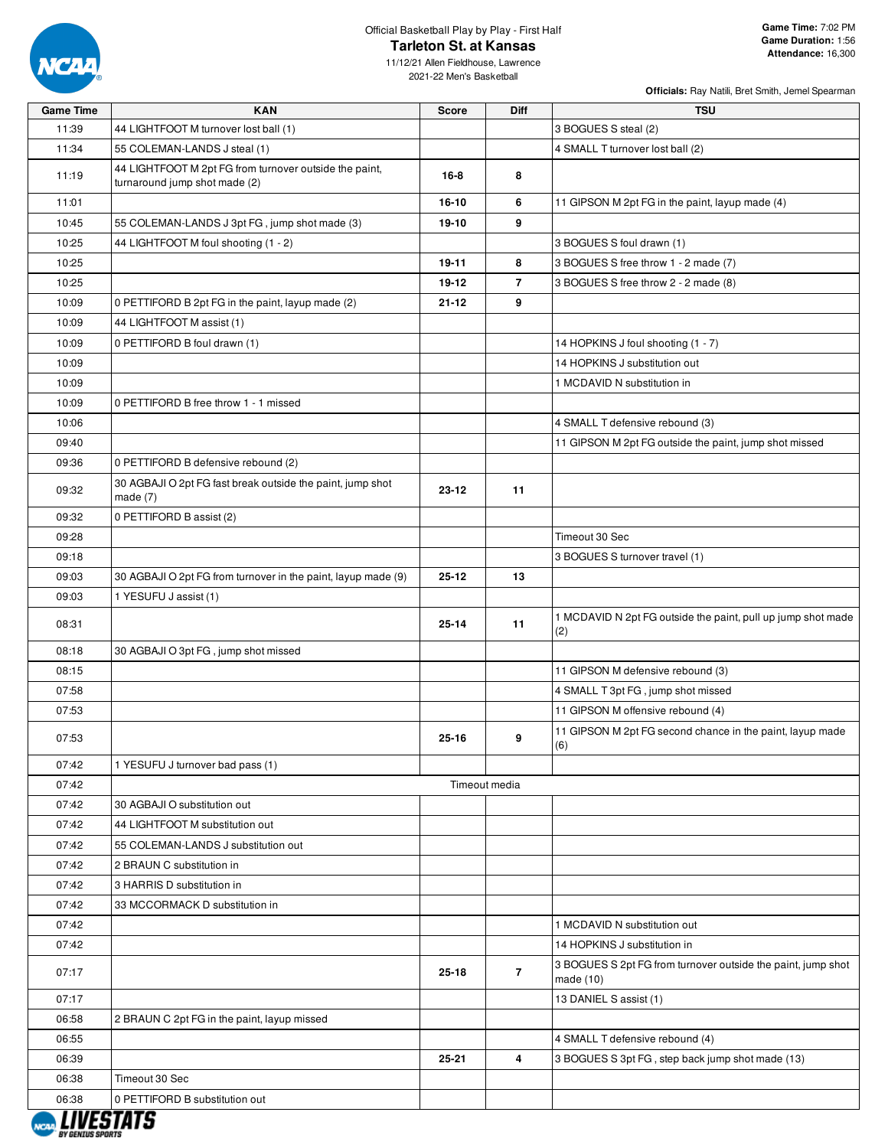

11/12/21 Allen Fieldhouse, Lawrence 2021-22 Men's Basketball

| <b>Game Time</b> | <b>KAN</b>                                                                              | <b>Score</b> | <b>Diff</b>    | <b>TSU</b>                                                                  |
|------------------|-----------------------------------------------------------------------------------------|--------------|----------------|-----------------------------------------------------------------------------|
| 11:39            | 44 LIGHTFOOT M turnover lost ball (1)                                                   |              |                | 3 BOGUES S steal (2)                                                        |
| 11:34            | 55 COLEMAN-LANDS J steal (1)                                                            |              |                | 4 SMALL T turnover lost ball (2)                                            |
| 11:19            | 44 LIGHTFOOT M 2pt FG from turnover outside the paint,<br>turnaround jump shot made (2) | $16 - 8$     | 8              |                                                                             |
| 11:01            |                                                                                         | 16-10        | 6              | 11 GIPSON M 2pt FG in the paint, layup made (4)                             |
| 10:45            | 55 COLEMAN-LANDS J 3pt FG, jump shot made (3)                                           | 19-10        | 9              |                                                                             |
| 10:25            | 44 LIGHTFOOT M foul shooting (1 - 2)                                                    |              |                | 3 BOGUES S foul drawn (1)                                                   |
| 10:25            |                                                                                         | 19-11        | 8              | 3 BOGUES S free throw 1 - 2 made (7)                                        |
| 10:25            |                                                                                         | 19-12        | $\overline{7}$ | 3 BOGUES S free throw 2 - 2 made (8)                                        |
| 10:09            | 0 PETTIFORD B 2pt FG in the paint, layup made (2)                                       | 21-12        | 9              |                                                                             |
| 10:09            | 44 LIGHTFOOT M assist (1)                                                               |              |                |                                                                             |
| 10:09            | 0 PETTIFORD B foul drawn (1)                                                            |              |                | 14 HOPKINS J foul shooting (1 - 7)                                          |
| 10:09            |                                                                                         |              |                | 14 HOPKINS J substitution out                                               |
| 10:09            |                                                                                         |              |                | 1 MCDAVID N substitution in                                                 |
| 10:09            | 0 PETTIFORD B free throw 1 - 1 missed                                                   |              |                |                                                                             |
| 10:06            |                                                                                         |              |                | 4 SMALL T defensive rebound (3)                                             |
| 09:40            |                                                                                         |              |                | 11 GIPSON M 2pt FG outside the paint, jump shot missed                      |
| 09:36            | 0 PETTIFORD B defensive rebound (2)                                                     |              |                |                                                                             |
| 09:32            | 30 AGBAJI O 2pt FG fast break outside the paint, jump shot<br>made $(7)$                | 23-12        | 11             |                                                                             |
| 09:32            | 0 PETTIFORD B assist (2)                                                                |              |                |                                                                             |
| 09:28            |                                                                                         |              |                | Timeout 30 Sec                                                              |
| 09:18            |                                                                                         |              |                | 3 BOGUES S turnover travel (1)                                              |
| 09:03            | 30 AGBAJI O 2pt FG from turnover in the paint, layup made (9)                           | 25-12        | 13             |                                                                             |
| 09:03            | 1 YESUFU J assist (1)                                                                   |              |                |                                                                             |
| 08:31            |                                                                                         | $25 - 14$    | 11             | 1 MCDAVID N 2pt FG outside the paint, pull up jump shot made<br>(2)         |
| 08:18            | 30 AGBAJI O 3pt FG, jump shot missed                                                    |              |                |                                                                             |
| 08:15            |                                                                                         |              |                | 11 GIPSON M defensive rebound (3)                                           |
| 07:58            |                                                                                         |              |                | 4 SMALL T 3pt FG, jump shot missed                                          |
| 07:53            |                                                                                         |              |                | 11 GIPSON M offensive rebound (4)                                           |
| 07:53            |                                                                                         | 25-16        | 9              | 11 GIPSON M 2pt FG second chance in the paint, layup made<br>(6)            |
| 07:42            | 1 YESUFU J turnover bad pass (1)                                                        |              |                |                                                                             |
| 07:42            |                                                                                         |              | Timeout media  |                                                                             |
| 07:42            | 30 AGBAJI O substitution out                                                            |              |                |                                                                             |
| 07:42            | 44 LIGHTFOOT M substitution out                                                         |              |                |                                                                             |
| 07:42            | 55 COLEMAN-LANDS J substitution out                                                     |              |                |                                                                             |
| 07:42            | 2 BRAUN C substitution in                                                               |              |                |                                                                             |
| 07:42            | 3 HARRIS D substitution in                                                              |              |                |                                                                             |
| 07:42            | 33 MCCORMACK D substitution in                                                          |              |                |                                                                             |
| 07:42            |                                                                                         |              |                | 1 MCDAVID N substitution out                                                |
| 07:42            |                                                                                         |              |                | 14 HOPKINS J substitution in                                                |
| 07:17            |                                                                                         | $25 - 18$    | $\overline{7}$ | 3 BOGUES S 2pt FG from turnover outside the paint, jump shot<br>made $(10)$ |
| 07:17            |                                                                                         |              |                | 13 DANIEL S assist (1)                                                      |
| 06:58            | 2 BRAUN C 2pt FG in the paint, layup missed                                             |              |                |                                                                             |
| 06:55            |                                                                                         |              |                | 4 SMALL T defensive rebound (4)                                             |
| 06:39            |                                                                                         | 25-21        | 4              | 3 BOGUES S 3pt FG, step back jump shot made (13)                            |
| 06:38            | Timeout 30 Sec                                                                          |              |                |                                                                             |
| 06:38            | 0 PETTIFORD B substitution out                                                          |              |                |                                                                             |

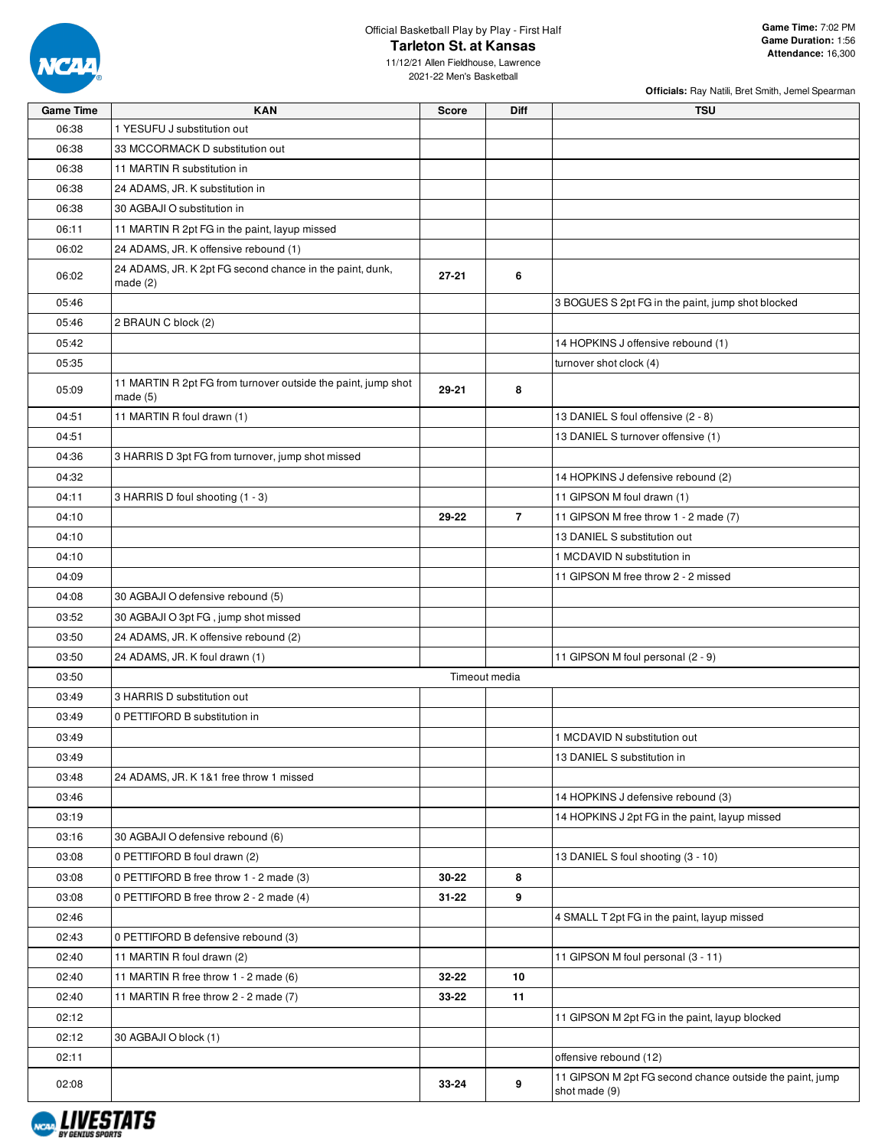

11/12/21 Allen Fieldhouse, Lawrence 2021-22 Men's Basketball

| <b>Game Time</b> | <b>KAN</b>                                                                  | <b>Score</b> | <b>Diff</b>    | <b>TSU</b>                                               |
|------------------|-----------------------------------------------------------------------------|--------------|----------------|----------------------------------------------------------|
| 06:38            | 1 YESUFU J substitution out                                                 |              |                |                                                          |
| 06:38            | 33 MCCORMACK D substitution out                                             |              |                |                                                          |
| 06:38            | 11 MARTIN R substitution in                                                 |              |                |                                                          |
| 06:38            | 24 ADAMS, JR. K substitution in                                             |              |                |                                                          |
| 06:38            | 30 AGBAJI O substitution in                                                 |              |                |                                                          |
| 06:11            | 11 MARTIN R 2pt FG in the paint, layup missed                               |              |                |                                                          |
| 06:02            | 24 ADAMS, JR. K offensive rebound (1)                                       |              |                |                                                          |
| 06:02            | 24 ADAMS, JR. K 2pt FG second chance in the paint, dunk,<br>made $(2)$      | 27-21        | 6              |                                                          |
| 05:46            |                                                                             |              |                | 3 BOGUES S 2pt FG in the paint, jump shot blocked        |
| 05:46            | 2 BRAUN C block (2)                                                         |              |                |                                                          |
| 05:42            |                                                                             |              |                | 14 HOPKINS J offensive rebound (1)                       |
| 05:35            |                                                                             |              |                | turnover shot clock (4)                                  |
| 05:09            | 11 MARTIN R 2pt FG from turnover outside the paint, jump shot<br>made $(5)$ | 29-21        | 8              |                                                          |
| 04:51            | 11 MARTIN R foul drawn (1)                                                  |              |                | 13 DANIEL S foul offensive (2 - 8)                       |
| 04:51            |                                                                             |              |                | 13 DANIEL S turnover offensive (1)                       |
| 04:36            | 3 HARRIS D 3pt FG from turnover, jump shot missed                           |              |                |                                                          |
| 04:32            |                                                                             |              |                | 14 HOPKINS J defensive rebound (2)                       |
| 04:11            | 3 HARRIS D foul shooting (1 - 3)                                            |              |                | 11 GIPSON M foul drawn (1)                               |
| 04:10            |                                                                             | 29-22        | $\overline{7}$ | 11 GIPSON M free throw 1 - 2 made (7)                    |
| 04:10            |                                                                             |              |                | 13 DANIEL S substitution out                             |
| 04:10            |                                                                             |              |                | 1 MCDAVID N substitution in                              |
| 04:09            |                                                                             |              |                | 11 GIPSON M free throw 2 - 2 missed                      |
| 04:08            | 30 AGBAJI O defensive rebound (5)                                           |              |                |                                                          |
| 03:52            | 30 AGBAJI O 3pt FG, jump shot missed                                        |              |                |                                                          |
| 03:50            | 24 ADAMS, JR. K offensive rebound (2)                                       |              |                |                                                          |
| 03:50            | 24 ADAMS, JR. K foul drawn (1)                                              |              |                | 11 GIPSON M foul personal (2 - 9)                        |
| 03:50            |                                                                             |              | Timeout media  |                                                          |
| 03:49            | 3 HARRIS D substitution out                                                 |              |                |                                                          |
| 03:49            | 0 PETTIFORD B substitution in                                               |              |                |                                                          |
| 03:49            |                                                                             |              |                | 1 MCDAVID N substitution out                             |
| 03:49            |                                                                             |              |                | 13 DANIEL S substitution in                              |
| 03:48            | 24 ADAMS, JR. K 1&1 free throw 1 missed                                     |              |                |                                                          |
| 03:46            |                                                                             |              |                | 14 HOPKINS J defensive rebound (3)                       |
| 03:19            |                                                                             |              |                | 14 HOPKINS J 2pt FG in the paint, layup missed           |
| 03:16            | 30 AGBAJI O defensive rebound (6)                                           |              |                |                                                          |
| 03:08            | 0 PETTIFORD B foul drawn (2)                                                |              |                | 13 DANIEL S foul shooting (3 - 10)                       |
| 03:08            | 0 PETTIFORD B free throw 1 - 2 made (3)                                     | 30-22        | 8              |                                                          |
| 03:08            | 0 PETTIFORD B free throw 2 - 2 made (4)                                     | 31-22        | 9              |                                                          |
| 02:46            |                                                                             |              |                | 4 SMALL T 2pt FG in the paint, layup missed              |
| 02:43            | 0 PETTIFORD B defensive rebound (3)                                         |              |                |                                                          |
| 02:40            | 11 MARTIN R foul drawn (2)                                                  |              |                | 11 GIPSON M foul personal (3 - 11)                       |
| 02:40            | 11 MARTIN R free throw 1 - 2 made (6)                                       | 32-22        | 10             |                                                          |
| 02:40            | 11 MARTIN R free throw 2 - 2 made (7)                                       | 33-22        | 11             |                                                          |
| 02:12            |                                                                             |              |                | 11 GIPSON M 2pt FG in the paint, layup blocked           |
| 02:12            | 30 AGBAJI O block (1)                                                       |              |                |                                                          |
| 02:11            |                                                                             |              |                | offensive rebound (12)                                   |
|                  |                                                                             |              |                | 11 GIPSON M 2pt FG second chance outside the paint, jump |
| 02:08            |                                                                             | 33-24        | 9              | shot made (9)                                            |

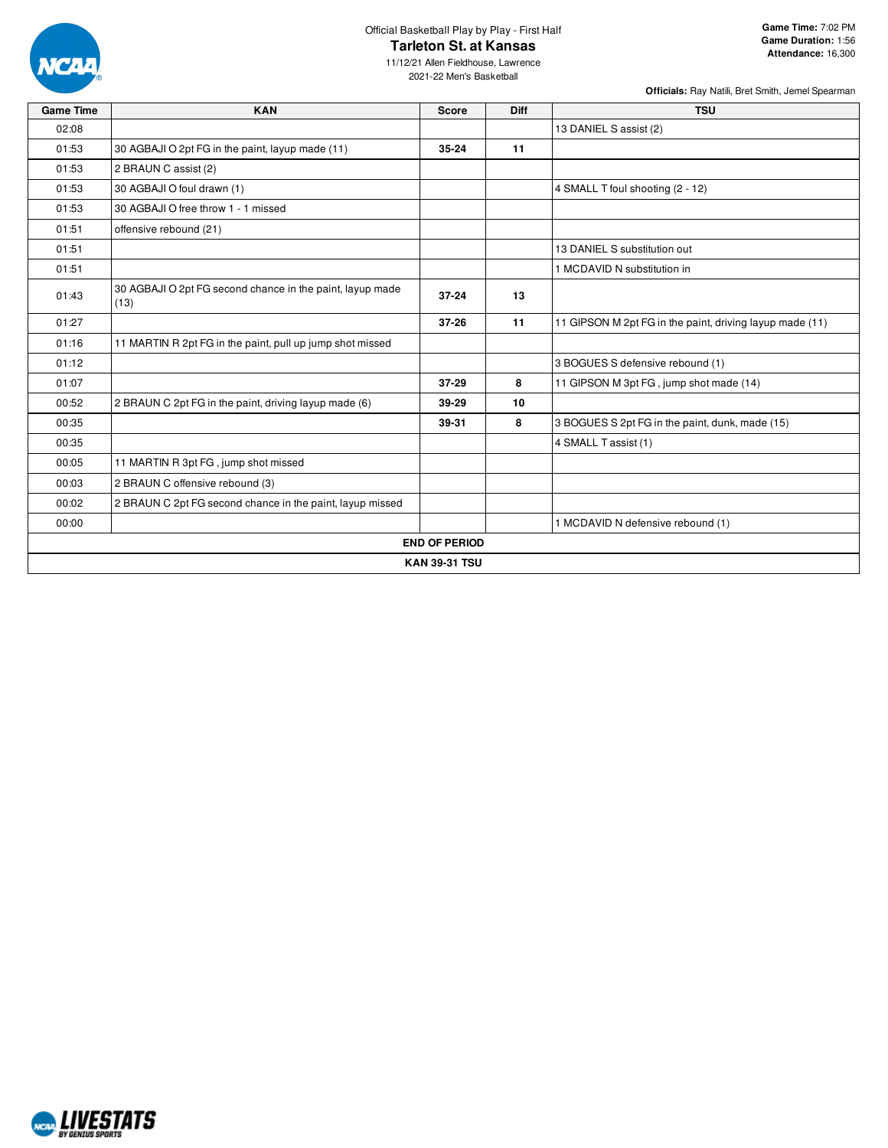

11/12/21 Allen Fieldhouse, Lawrence 2021-22 Men's Basketball

| <b>Game Time</b> | <b>KAN</b>                                                        | <b>Score</b>         | Diff | <b>TSU</b>                                               |
|------------------|-------------------------------------------------------------------|----------------------|------|----------------------------------------------------------|
| 02:08            |                                                                   |                      |      | 13 DANIEL S assist (2)                                   |
| 01:53            | 30 AGBAJI O 2pt FG in the paint, layup made (11)                  | $35 - 24$            | 11   |                                                          |
| 01:53            | 2 BRAUN C assist (2)                                              |                      |      |                                                          |
| 01:53            | 30 AGBAJI O foul drawn (1)                                        |                      |      | 4 SMALL T foul shooting (2 - 12)                         |
| 01:53            | 30 AGBAJI O free throw 1 - 1 missed                               |                      |      |                                                          |
| 01:51            | offensive rebound (21)                                            |                      |      |                                                          |
| 01:51            |                                                                   |                      |      | 13 DANIEL S substitution out                             |
| 01:51            |                                                                   |                      |      | 1 MCDAVID N substitution in                              |
| 01:43            | 30 AGBAJI O 2pt FG second chance in the paint, layup made<br>(13) | $37 - 24$            | 13   |                                                          |
| 01:27            |                                                                   | $37 - 26$            | 11   | 11 GIPSON M 2pt FG in the paint, driving layup made (11) |
| 01:16            | 11 MARTIN R 2pt FG in the paint, pull up jump shot missed         |                      |      |                                                          |
| 01:12            |                                                                   |                      |      | 3 BOGUES S defensive rebound (1)                         |
| 01:07            |                                                                   | $37 - 29$            | 8    | 11 GIPSON M 3pt FG, jump shot made (14)                  |
| 00:52            | 2 BRAUN C 2pt FG in the paint, driving layup made (6)             | 39-29                | 10   |                                                          |
| 00:35            |                                                                   | 39-31                | 8    | 3 BOGUES S 2pt FG in the paint, dunk, made (15)          |
| 00:35            |                                                                   |                      |      | 4 SMALL T assist (1)                                     |
| 00:05            | 11 MARTIN R 3pt FG, jump shot missed                              |                      |      |                                                          |
| 00:03            | 2 BRAUN C offensive rebound (3)                                   |                      |      |                                                          |
| 00:02            | 2 BRAUN C 2pt FG second chance in the paint, layup missed         |                      |      |                                                          |
| 00:00            |                                                                   |                      |      | 1 MCDAVID N defensive rebound (1)                        |
|                  |                                                                   | <b>END OF PERIOD</b> |      |                                                          |
|                  |                                                                   | <b>KAN 39-31 TSU</b> |      |                                                          |

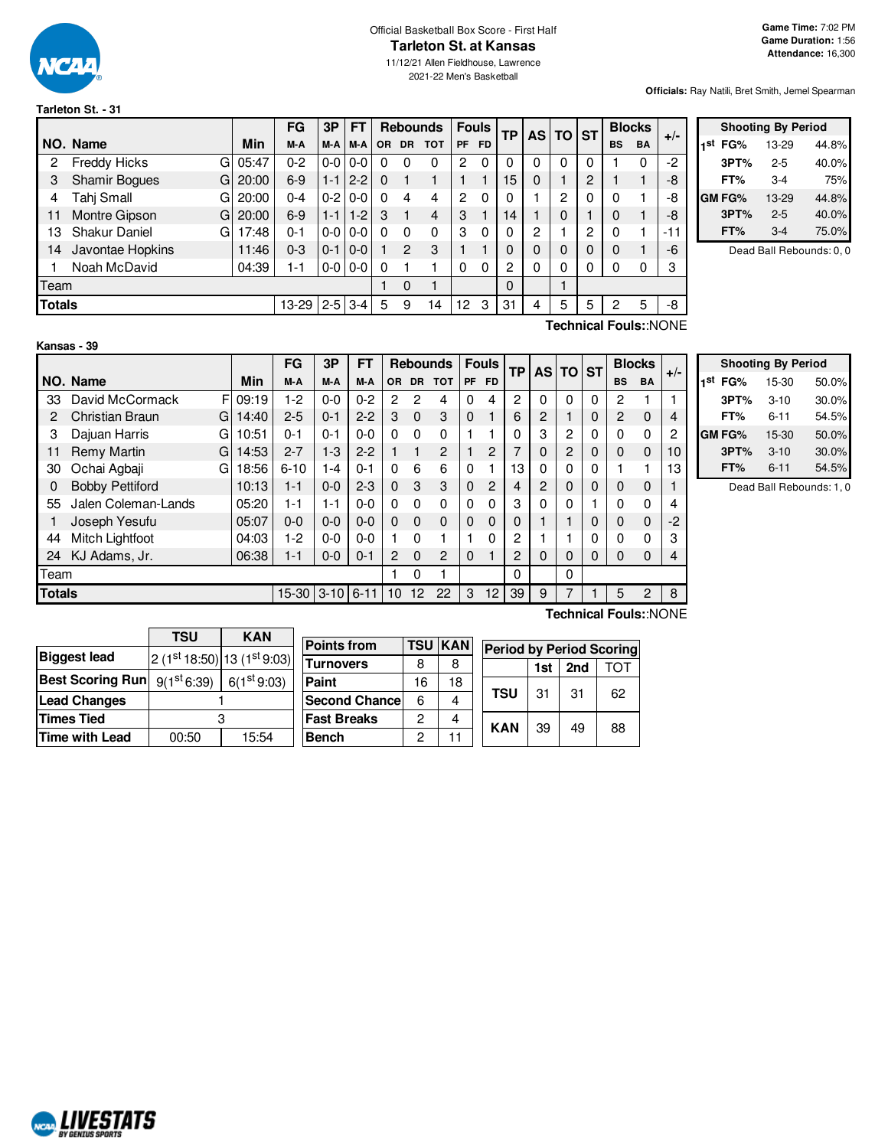

**Tarleton St. - 31**

#### Official Basketball Box Score - First Half **Tarleton St. at Kansas**

11/12/21 Allen Fieldhouse, Lawrence 2021-22 Men's Basketball

#### **Officials:** Ray Natili, Bret Smith, Jemel Spearman

|               |                            |          | FG      | 3P      | FT                | <b>Rebounds</b> |                |            | <b>Fouls</b> | ТP        |    | AS TO ST |          | <b>Blocks</b> |           | $+/-$     |       |
|---------------|----------------------------|----------|---------|---------|-------------------|-----------------|----------------|------------|--------------|-----------|----|----------|----------|---------------|-----------|-----------|-------|
|               | NO. Name                   | Min      | M-A     | M-A     | M-A               | <b>OR</b>       | <b>DR</b>      | <b>TOT</b> | <b>PF</b>    | <b>FD</b> |    |          |          |               | <b>BS</b> | <b>BA</b> |       |
| 2             | <b>Freddy Hicks</b><br>G.  | 05:47    | $0 - 2$ |         | $0 - 0 0 - 0$     | 0               | 0              | 0          | 2            | 0         | 0  |          | 0        |               |           | 0         | $-2$  |
| 3             | <b>Shamir Bogues</b><br>Gl | 20:00    | $6-9$   | $1 - 1$ | $2 - 2$           | 0               |                |            |              |           | 15 | $\Omega$ |          | 2             |           |           | -8    |
| 4             | Tahj Small                 | GI 20:00 | $0 - 4$ | $0 - 2$ | $\overline{0}$ -0 | $\Omega$        | 4              | 4          | 2            | 0         | 0  |          | 2        | $\Omega$      | 0         |           | -8    |
| 11            | Montre Gipson<br>GI        | 20:00    | $6-9$   | $1 - 1$ | $1 - 2$           | 3               |                | 4          | 3            |           | 14 |          | $\Omega$ |               | $\Omega$  |           | -8    |
| 13            | <b>Shakur Daniel</b><br>G  | 17:48    | $0 - 1$ |         | $0 - 0 0 - 0$     |                 | 0              | 0          | З            | $\Omega$  | 0  | 2        |          | 2             | $\Omega$  |           | $-11$ |
| 14            | Javontae Hopkins           | 11:46    | $0 - 3$ | $0 - 1$ | $0-0$             |                 | $\overline{c}$ | 3          |              |           | 0  | 0        | 0        | 0             | $\Omega$  |           | -6    |
|               | Noah McDavid               | 04:39    | 1-1     |         | $0-0$ 0-0         | 0               |                |            |              | $\Omega$  | 2  | 0        | 0        | 0             | 0         |           | 3     |
| Team          |                            |          |         |         |                   |                 | 0              |            |              |           | 0  |          |          |               |           |           |       |
| <b>Totals</b> |                            |          | 13-29   |         | $2-5$ 3-4         | 5               | 9              | 14         | 12           | 3         | 31 | 4        | 5        | 5             | 2         | 5         | -8    |

|     | <b>Shooting By Period</b> |           |       |  |  |  |  |  |  |  |  |  |
|-----|---------------------------|-----------|-------|--|--|--|--|--|--|--|--|--|
| 1st | FG%                       | 13-29     | 44.8% |  |  |  |  |  |  |  |  |  |
|     | 3PT%                      | $2 - 5$   | 40.0% |  |  |  |  |  |  |  |  |  |
|     | FT%                       | 3-4       | 75%   |  |  |  |  |  |  |  |  |  |
|     | <b>GM FG%</b>             | $13 - 29$ | 44.8% |  |  |  |  |  |  |  |  |  |
|     | 3PT%                      | $2 - 5$   | 40.0% |  |  |  |  |  |  |  |  |  |
|     | FT%                       | 3-4       | 75.0% |  |  |  |  |  |  |  |  |  |

Dead Ball Rebounds: 0, 0

**Kansas - 39**

**Technical Fouls:**:NONE

|               |                        |   |       | FG              | 3P      | <b>FT</b> |     |             | <b>Rebounds</b> |              | <b>Fouls</b> | TP |          | AS TO ST |          |                       | <b>Blocks</b> | $+/-$ |
|---------------|------------------------|---|-------|-----------------|---------|-----------|-----|-------------|-----------------|--------------|--------------|----|----------|----------|----------|-----------------------|---------------|-------|
|               | NO. Name               |   | Min   | M-A             | M-A     | M-A       | OR. | <b>DR</b>   | <b>TOT</b>      | <b>PF</b>    | FD.          |    |          |          |          | <b>BS</b>             | <b>BA</b>     |       |
| 33            | David McCormack        | F | 09:19 | $1-2$           | $0-0$   | $0 - 2$   | 2   | 2           | 4               | $\Omega$     | 4            | 2  | 0        | 0        | $\Omega$ | 2                     |               |       |
| 2             | <b>Christian Braun</b> | G | 14:40 | $2 - 5$         | $0 - 1$ | $2 - 2$   | 3   | 0           | 3               | $\mathbf{0}$ |              | 6  | 2        |          | 0        | 2                     | $\mathbf 0$   | 4     |
| 3             | Dajuan Harris          | G | 10:51 | $0 - 1$         | $0 - 1$ | $0-0$     | 0   | $\Omega$    | 0               |              | 1            |    | 3        | 2        | $\Omega$ | $\Omega$              | 0             | 2     |
| 11            | Remy Martin            | G | 14:53 | $2 - 7$         | $1 - 3$ | $2 - 2$   |     | 1           | $\overline{c}$  |              | 2            |    | 0        | 2        | 0        | $\Omega$              | $\mathbf{0}$  | 10    |
| 30            | Ochai Agbaji           | G | 18:56 | $6 - 10$        | $1 - 4$ | $0 - 1$   | 0   | 6           | 6               | $\Omega$     | 1            | 13 | 0        | 0        | 0        |                       |               | 13    |
| 0             | <b>Bobby Pettiford</b> |   | 10:13 | $1 - 1$         | $0 - 0$ | $2 - 3$   | 0   | 3           | 3               | $\mathbf{0}$ | 2            | 4  | 2        | 0        | 0        | $\Omega$              | 0             |       |
| 55            | Jalen Coleman-Lands    |   | 05:20 | 1-1             | $1 - 1$ | $0-0$     | 0   | 0           | 0               | $\Omega$     | 0            | 3  | 0        | 0        |          | 0                     | 0             | 4     |
|               | Joseph Yesufu          |   | 05:07 | $0 - 0$         | $0 - 0$ | $0 - 0$   | 0   | $\mathbf 0$ | 0               | $\mathbf{0}$ | 0            | 0  |          |          | 0        | $\Omega$              | $\mathbf 0$   | -2    |
| 44            | Mitch Lightfoot        |   | 04:03 | $1-2$           | $0 - 0$ | $0-0$     |     | $\Omega$    |                 |              | 0            | 2  |          |          | 0        | $\Omega$              | 0             | 3     |
| 24            | KJ Adams, Jr.          |   | 06:38 | $1 - 1$         | $0 - 0$ | $0 - 1$   | 2   | $\Omega$    | $\overline{2}$  | $\Omega$     | 1            | 2  | $\Omega$ | 0        | 0        | $\Omega$              | $\mathbf 0$   | 4     |
| Team          |                        |   |       |                 |         |           |     | 0           |                 |              |              | 0  |          | 0        |          |                       |               |       |
| <b>Totals</b> |                        |   |       | 15-30 3-10 6-11 |         |           | 10  | 12          | 22              | 3            | 12           | 39 | 9        | 7        |          | 5                     | 2             | 8     |
|               |                        |   |       |                 |         |           |     |             |                 |              |              |    |          |          |          | Technical Fouls::NONE |               |       |

|     |               | <b>Shooting By Period</b> |       |  |  |  |  |  |  |  |  |  |  |  |
|-----|---------------|---------------------------|-------|--|--|--|--|--|--|--|--|--|--|--|
| 1st | FG%           | 15-30                     | 50.0% |  |  |  |  |  |  |  |  |  |  |  |
|     | 3PT%          | $3 - 10$                  | 30.0% |  |  |  |  |  |  |  |  |  |  |  |
|     | FT%           | $6 - 11$                  | 54.5% |  |  |  |  |  |  |  |  |  |  |  |
|     | <b>GM FG%</b> | 15-30                     | 50.0% |  |  |  |  |  |  |  |  |  |  |  |
|     | 3PT%          | $3 - 10$                  | 30.0% |  |  |  |  |  |  |  |  |  |  |  |
|     | FT%           | $6 - 11$                  | 54.5% |  |  |  |  |  |  |  |  |  |  |  |

Dead Ball Rebounds: 1, 0

|                                                 | TSU   | <b>KAN</b>              |                                       |    |                |                                 |     |     |     |
|-------------------------------------------------|-------|-------------------------|---------------------------------------|----|----------------|---------------------------------|-----|-----|-----|
|                                                 |       |                         | <b>Points from</b>                    |    | <b>TSU KAN</b> | <b>Period by Period Scoring</b> |     |     |     |
| <b>Biggest lead</b>                             |       |                         | $ 2(1st18:50) 13(1st9:03) $ Turnovers | 8  | 8              |                                 |     |     |     |
|                                                 |       |                         |                                       |    |                |                                 | 1st | 2nd | וסד |
| Best Scoring Run $\mid$ 9(1 <sup>st</sup> 6:39) |       | 6(1 <sup>st</sup> 9:03) | Paint                                 | 16 | 18             |                                 |     |     |     |
| <b>Lead Changes</b>                             |       |                         | Second Chance                         | 6  | 4              | <b>TSU</b>                      | 31  | 31  | 62  |
| Times Tied                                      |       |                         | <b>Fast Breaks</b>                    | 2  | 4              | <b>KAN</b>                      | 39  | 49  |     |
| Time with Lead                                  | 00:50 | 15:54                   | <b>Bench</b>                          | ◠  |                |                                 |     |     | 88  |

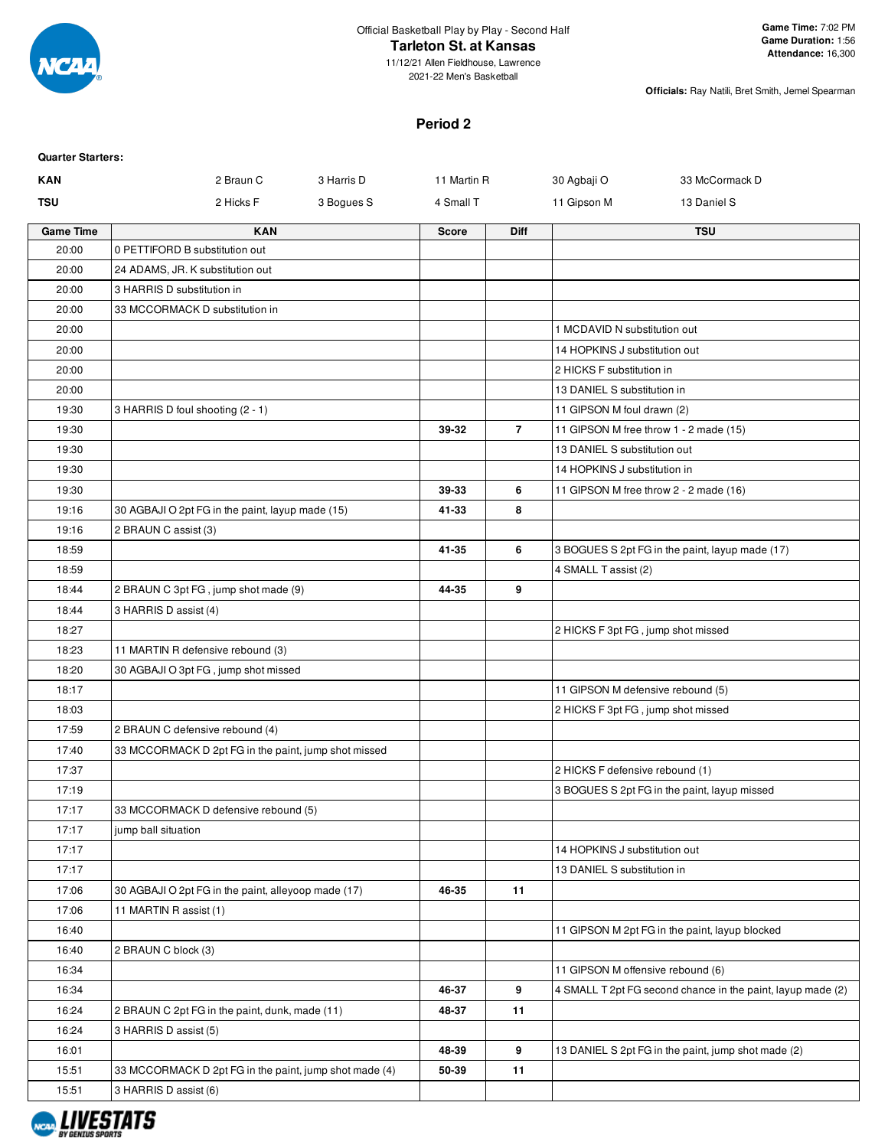

11/12/21 Allen Fieldhouse, Lawrence 2021-22 Men's Basketball

**Officials:** Ray Natili, Bret Smith, Jemel Spearman

#### **Period 2**

| <b>Quarter Starters:</b> |                                                        |            |              |                |                                    |                                                             |
|--------------------------|--------------------------------------------------------|------------|--------------|----------------|------------------------------------|-------------------------------------------------------------|
| <b>KAN</b>               | 2 Braun C                                              | 3 Harris D | 11 Martin R  |                | 30 Agbaji O                        | 33 McCormack D                                              |
| <b>TSU</b>               | 2 Hicks F                                              | 3 Bogues S | 4 Small T    |                | 11 Gipson M                        | 13 Daniel S                                                 |
| <b>Game Time</b>         | <b>KAN</b>                                             |            | <b>Score</b> | <b>Diff</b>    |                                    | <b>TSU</b>                                                  |
| 20:00                    | 0 PETTIFORD B substitution out                         |            |              |                |                                    |                                                             |
| 20:00                    | 24 ADAMS, JR. K substitution out                       |            |              |                |                                    |                                                             |
| 20:00                    | 3 HARRIS D substitution in                             |            |              |                |                                    |                                                             |
| 20:00                    | 33 MCCORMACK D substitution in                         |            |              |                |                                    |                                                             |
| 20:00                    |                                                        |            |              |                | 1 MCDAVID N substitution out       |                                                             |
| 20:00                    |                                                        |            |              |                | 14 HOPKINS J substitution out      |                                                             |
| 20:00                    |                                                        |            |              |                | 2 HICKS F substitution in          |                                                             |
| 20:00                    |                                                        |            |              |                | 13 DANIEL S substitution in        |                                                             |
| 19:30                    | 3 HARRIS D foul shooting (2 - 1)                       |            |              |                | 11 GIPSON M foul drawn (2)         |                                                             |
| 19:30                    |                                                        |            | 39-32        | $\overline{7}$ |                                    | 11 GIPSON M free throw 1 - 2 made (15)                      |
| 19:30                    |                                                        |            |              |                | 13 DANIEL S substitution out       |                                                             |
| 19:30                    |                                                        |            |              |                | 14 HOPKINS J substitution in       |                                                             |
| 19:30                    |                                                        |            | 39-33        | 6              |                                    | 11 GIPSON M free throw 2 - 2 made (16)                      |
| 19:16                    | 30 AGBAJI O 2pt FG in the paint, layup made (15)       |            | 41-33        | 8              |                                    |                                                             |
| 19:16                    | 2 BRAUN C assist (3)                                   |            |              |                |                                    |                                                             |
| 18:59                    |                                                        |            | 41-35        | 6              |                                    | 3 BOGUES S 2pt FG in the paint, layup made (17)             |
| 18:59                    |                                                        |            |              |                | 4 SMALL T assist (2)               |                                                             |
| 18:44                    | 2 BRAUN C 3pt FG, jump shot made (9)                   |            | 44-35        | 9              |                                    |                                                             |
| 18:44                    | 3 HARRIS D assist (4)                                  |            |              |                |                                    |                                                             |
| 18:27                    |                                                        |            |              |                | 2 HICKS F 3pt FG, jump shot missed |                                                             |
| 18:23                    | 11 MARTIN R defensive rebound (3)                      |            |              |                |                                    |                                                             |
| 18:20                    | 30 AGBAJI O 3pt FG, jump shot missed                   |            |              |                |                                    |                                                             |
| 18:17                    |                                                        |            |              |                | 11 GIPSON M defensive rebound (5)  |                                                             |
| 18:03                    |                                                        |            |              |                | 2 HICKS F 3pt FG, jump shot missed |                                                             |
| 17:59                    | 2 BRAUN C defensive rebound (4)                        |            |              |                |                                    |                                                             |
| 17:40                    | 33 MCCORMACK D 2pt FG in the paint, jump shot missed   |            |              |                |                                    |                                                             |
| 17:37                    |                                                        |            |              |                | 2 HICKS F defensive rebound (1)    |                                                             |
| 17:19                    |                                                        |            |              |                |                                    | 3 BOGUES S 2pt FG in the paint, layup missed                |
| 17:17                    | 33 MCCORMACK D defensive rebound (5)                   |            |              |                |                                    |                                                             |
| 17:17                    | jump ball situation                                    |            |              |                |                                    |                                                             |
| 17:17                    |                                                        |            |              |                | 14 HOPKINS J substitution out      |                                                             |
| 17:17                    |                                                        |            |              |                | 13 DANIEL S substitution in        |                                                             |
| 17:06                    | 30 AGBAJI O 2pt FG in the paint, alleyoop made (17)    |            | 46-35        | 11             |                                    |                                                             |
| 17:06                    | 11 MARTIN R assist (1)                                 |            |              |                |                                    |                                                             |
| 16:40                    |                                                        |            |              |                |                                    | 11 GIPSON M 2pt FG in the paint, layup blocked              |
| 16:40                    | 2 BRAUN C block (3)                                    |            |              |                |                                    |                                                             |
| 16:34                    |                                                        |            |              |                | 11 GIPSON M offensive rebound (6)  |                                                             |
| 16:34                    |                                                        |            | 46-37        | 9              |                                    | 4 SMALL T 2pt FG second chance in the paint, layup made (2) |
| 16:24                    | 2 BRAUN C 2pt FG in the paint, dunk, made (11)         |            | 48-37        | 11             |                                    |                                                             |
| 16:24                    | 3 HARRIS D assist (5)                                  |            |              |                |                                    |                                                             |
| 16:01                    |                                                        |            | 48-39        | 9              |                                    | 13 DANIEL S 2pt FG in the paint, jump shot made (2)         |
| 15:51                    | 33 MCCORMACK D 2pt FG in the paint, jump shot made (4) |            | 50-39        | 11             |                                    |                                                             |
| 15:51                    | 3 HARRIS D assist (6)                                  |            |              |                |                                    |                                                             |
|                          |                                                        |            |              |                |                                    |                                                             |

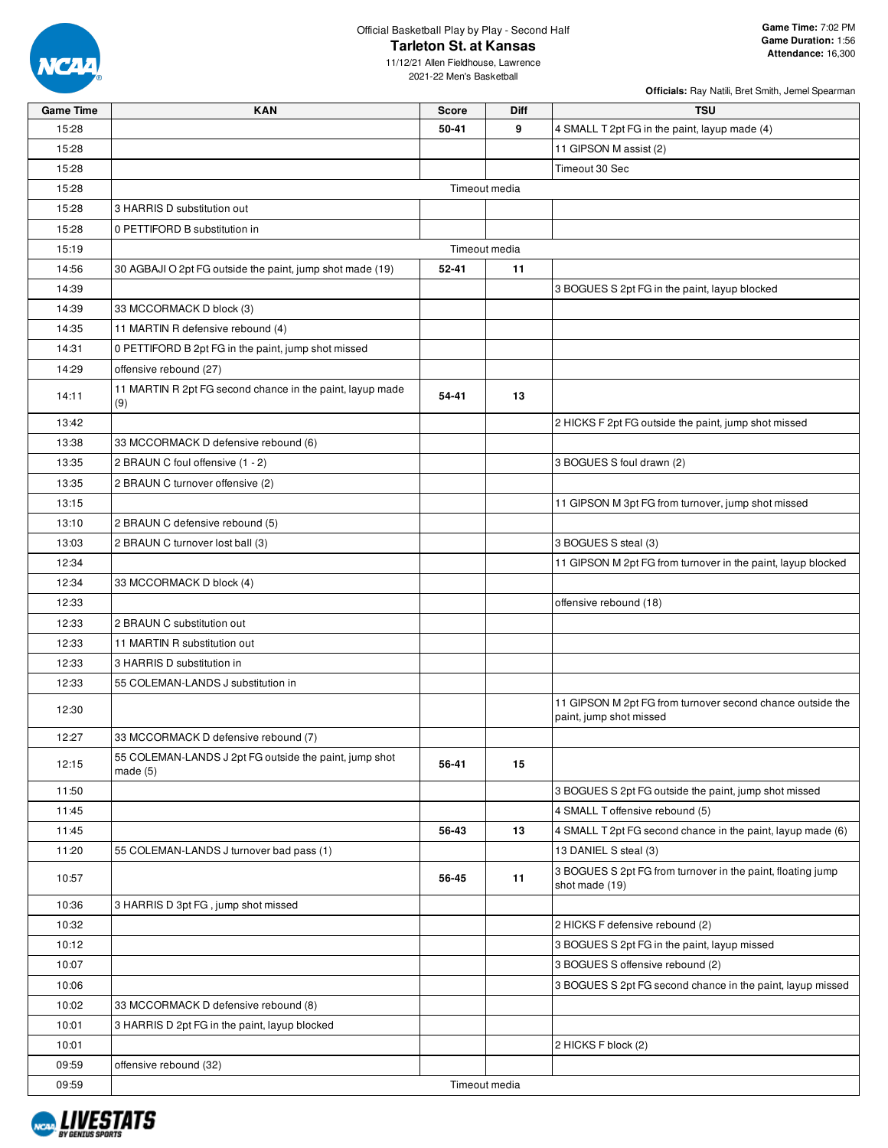

11/12/21 Allen Fieldhouse, Lawrence 2021-22 Men's Basketball

| <b>Game Time</b> | <b>KAN</b>                                                        | <b>Score</b> | Diff          | <b>TSU</b>                                                                            |
|------------------|-------------------------------------------------------------------|--------------|---------------|---------------------------------------------------------------------------------------|
| 15:28            |                                                                   | 50-41        | 9             | 4 SMALL T 2pt FG in the paint, layup made (4)                                         |
| 15:28            |                                                                   |              |               | 11 GIPSON M assist (2)                                                                |
| 15:28            |                                                                   |              |               | Timeout 30 Sec                                                                        |
| 15:28            |                                                                   |              | Timeout media |                                                                                       |
| 15:28            | 3 HARRIS D substitution out                                       |              |               |                                                                                       |
| 15:28            | 0 PETTIFORD B substitution in                                     |              |               |                                                                                       |
| 15:19            |                                                                   |              | Timeout media |                                                                                       |
| 14:56            | 30 AGBAJI O 2pt FG outside the paint, jump shot made (19)         | 52-41        | 11            |                                                                                       |
| 14:39            |                                                                   |              |               | 3 BOGUES S 2pt FG in the paint, layup blocked                                         |
| 14:39            | 33 MCCORMACK D block (3)                                          |              |               |                                                                                       |
| 14:35            | 11 MARTIN R defensive rebound (4)                                 |              |               |                                                                                       |
| 14:31            | 0 PETTIFORD B 2pt FG in the paint, jump shot missed               |              |               |                                                                                       |
| 14:29            | offensive rebound (27)                                            |              |               |                                                                                       |
|                  | 11 MARTIN R 2pt FG second chance in the paint, layup made         |              |               |                                                                                       |
| 14:11            | (9)                                                               | 54-41        | 13            |                                                                                       |
| 13:42            |                                                                   |              |               | 2 HICKS F 2pt FG outside the paint, jump shot missed                                  |
| 13:38            | 33 MCCORMACK D defensive rebound (6)                              |              |               |                                                                                       |
| 13:35            | 2 BRAUN C foul offensive (1 - 2)                                  |              |               | 3 BOGUES S foul drawn (2)                                                             |
| 13:35            | 2 BRAUN C turnover offensive (2)                                  |              |               |                                                                                       |
| 13:15            |                                                                   |              |               | 11 GIPSON M 3pt FG from turnover, jump shot missed                                    |
| 13:10            | 2 BRAUN C defensive rebound (5)                                   |              |               |                                                                                       |
| 13:03            | 2 BRAUN C turnover lost ball (3)                                  |              |               | 3 BOGUES S steal (3)                                                                  |
| 12:34            |                                                                   |              |               | 11 GIPSON M 2pt FG from turnover in the paint, layup blocked                          |
| 12:34            | 33 MCCORMACK D block (4)                                          |              |               |                                                                                       |
| 12:33            |                                                                   |              |               | offensive rebound (18)                                                                |
| 12:33            | 2 BRAUN C substitution out                                        |              |               |                                                                                       |
| 12:33            | 11 MARTIN R substitution out                                      |              |               |                                                                                       |
| 12:33            | 3 HARRIS D substitution in                                        |              |               |                                                                                       |
| 12:33            | 55 COLEMAN-LANDS J substitution in                                |              |               |                                                                                       |
| 12:30            |                                                                   |              |               | 11 GIPSON M 2pt FG from turnover second chance outside the<br>paint, jump shot missed |
| 12:27            | 33 MCCORMACK D defensive rebound (7)                              |              |               |                                                                                       |
| 12:15            | 55 COLEMAN-LANDS J 2pt FG outside the paint, jump shot<br>made(5) | 56-41        | 15            |                                                                                       |
| 11:50            |                                                                   |              |               | 3 BOGUES S 2pt FG outside the paint, jump shot missed                                 |
| 11:45            |                                                                   |              |               | 4 SMALL T offensive rebound (5)                                                       |
| 11:45            |                                                                   | 56-43        | 13            | 4 SMALL T 2pt FG second chance in the paint, layup made (6)                           |
| 11:20            | 55 COLEMAN-LANDS J turnover bad pass (1)                          |              |               | 13 DANIEL S steal (3)                                                                 |
| 10:57            |                                                                   | 56-45        | 11            | 3 BOGUES S 2pt FG from turnover in the paint, floating jump<br>shot made (19)         |
| 10:36            | 3 HARRIS D 3pt FG, jump shot missed                               |              |               |                                                                                       |
| 10:32            |                                                                   |              |               | 2 HICKS F defensive rebound (2)                                                       |
| 10:12            |                                                                   |              |               | 3 BOGUES S 2pt FG in the paint, layup missed                                          |
| 10:07            |                                                                   |              |               | 3 BOGUES S offensive rebound (2)                                                      |
| 10:06            |                                                                   |              |               | 3 BOGUES S 2pt FG second chance in the paint, layup missed                            |
| 10:02            | 33 MCCORMACK D defensive rebound (8)                              |              |               |                                                                                       |
| 10:01            | 3 HARRIS D 2pt FG in the paint, layup blocked                     |              |               |                                                                                       |
| 10:01            |                                                                   |              |               | 2 HICKS F block (2)                                                                   |
| 09:59            | offensive rebound (32)                                            |              |               |                                                                                       |
| 09:59            |                                                                   |              | Timeout media |                                                                                       |

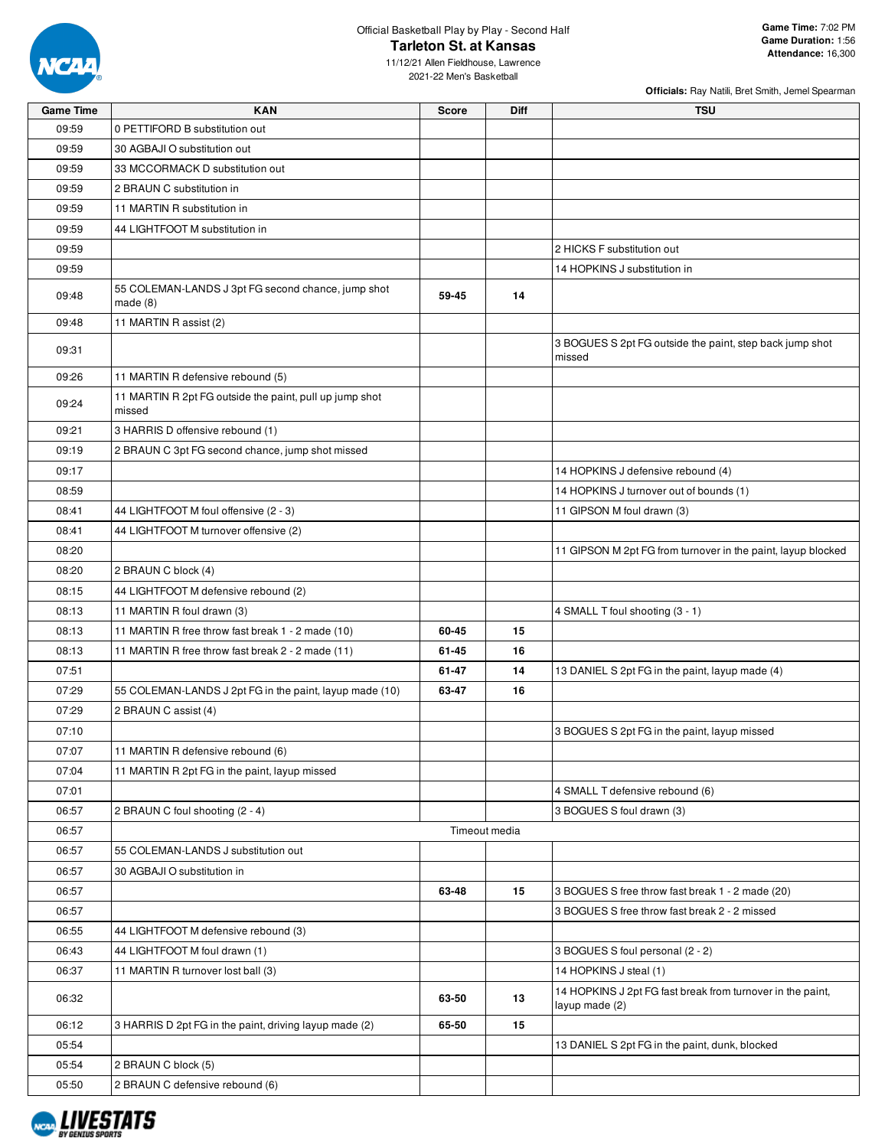

**Officials:** Ray Natili, Bret Smith, Jemel Spearman

11/12/21 Allen Fieldhouse, Lawrence 2021-22 Men's Basketball

| <b>Game Time</b> | <b>KAN</b>                                                        | <b>Score</b> | Diff          | <b>TSU</b>                                                                   |
|------------------|-------------------------------------------------------------------|--------------|---------------|------------------------------------------------------------------------------|
| 09:59            | 0 PETTIFORD B substitution out                                    |              |               |                                                                              |
| 09:59            | 30 AGBAJI O substitution out                                      |              |               |                                                                              |
| 09:59            | 33 MCCORMACK D substitution out                                   |              |               |                                                                              |
| 09:59            | 2 BRAUN C substitution in                                         |              |               |                                                                              |
| 09:59            | 11 MARTIN R substitution in                                       |              |               |                                                                              |
| 09:59            | 44 LIGHTFOOT M substitution in                                    |              |               |                                                                              |
| 09:59            |                                                                   |              |               | 2 HICKS F substitution out                                                   |
| 09:59            |                                                                   |              |               | 14 HOPKINS J substitution in                                                 |
| 09:48            | 55 COLEMAN-LANDS J 3pt FG second chance, jump shot<br>made(8)     | 59-45        | 14            |                                                                              |
| 09:48            | 11 MARTIN R assist (2)                                            |              |               |                                                                              |
| 09:31            |                                                                   |              |               | 3 BOGUES S 2pt FG outside the paint, step back jump shot<br>missed           |
| 09:26            | 11 MARTIN R defensive rebound (5)                                 |              |               |                                                                              |
| 09:24            | 11 MARTIN R 2pt FG outside the paint, pull up jump shot<br>missed |              |               |                                                                              |
| 09:21            | 3 HARRIS D offensive rebound (1)                                  |              |               |                                                                              |
| 09:19            | 2 BRAUN C 3pt FG second chance, jump shot missed                  |              |               |                                                                              |
| 09:17            |                                                                   |              |               | 14 HOPKINS J defensive rebound (4)                                           |
| 08:59            |                                                                   |              |               | 14 HOPKINS J turnover out of bounds (1)                                      |
| 08:41            | 44 LIGHTFOOT M foul offensive (2 - 3)                             |              |               | 11 GIPSON M foul drawn (3)                                                   |
| 08:41            | 44 LIGHTFOOT M turnover offensive (2)                             |              |               |                                                                              |
| 08:20            |                                                                   |              |               | 11 GIPSON M 2pt FG from turnover in the paint, layup blocked                 |
| 08:20            | 2 BRAUN C block (4)                                               |              |               |                                                                              |
| 08:15            | 44 LIGHTFOOT M defensive rebound (2)                              |              |               |                                                                              |
| 08:13            | 11 MARTIN R foul drawn (3)                                        |              |               | 4 SMALL T foul shooting (3 - 1)                                              |
| 08:13            | 11 MARTIN R free throw fast break 1 - 2 made (10)                 | 60-45        | 15            |                                                                              |
| 08:13            | 11 MARTIN R free throw fast break 2 - 2 made (11)                 | 61-45        | 16            |                                                                              |
| 07:51            |                                                                   | 61-47        | 14            | 13 DANIEL S 2pt FG in the paint, layup made (4)                              |
| 07:29            | 55 COLEMAN-LANDS J 2pt FG in the paint, layup made (10)           | 63-47        | 16            |                                                                              |
| 07:29            | 2 BRAUN C assist (4)                                              |              |               |                                                                              |
| 07:10            |                                                                   |              |               | 3 BOGUES S 2pt FG in the paint, layup missed                                 |
| 07:07            | 11 MARTIN R defensive rebound (6)                                 |              |               |                                                                              |
| 07:04            | 11 MARTIN R 2pt FG in the paint, layup missed                     |              |               |                                                                              |
| 07:01            |                                                                   |              |               | 4 SMALL T defensive rebound (6)                                              |
| 06:57            | 2 BRAUN C foul shooting (2 - 4)                                   |              |               | 3 BOGUES S foul drawn (3)                                                    |
| 06:57            |                                                                   |              | Timeout media |                                                                              |
| 06:57            | 55 COLEMAN-LANDS J substitution out                               |              |               |                                                                              |
| 06:57            | 30 AGBAJI O substitution in                                       |              |               |                                                                              |
| 06:57            |                                                                   | 63-48        | 15            | 3 BOGUES S free throw fast break 1 - 2 made (20)                             |
| 06:57            |                                                                   |              |               | 3 BOGUES S free throw fast break 2 - 2 missed                                |
| 06:55            | 44 LIGHTFOOT M defensive rebound (3)                              |              |               |                                                                              |
| 06:43            | 44 LIGHTFOOT M foul drawn (1)                                     |              |               | 3 BOGUES S foul personal (2 - 2)                                             |
| 06:37            | 11 MARTIN R turnover lost ball (3)                                |              |               | 14 HOPKINS J steal (1)                                                       |
| 06:32            |                                                                   | 63-50        | 13            | 14 HOPKINS J 2pt FG fast break from turnover in the paint,<br>layup made (2) |
| 06:12            | 3 HARRIS D 2pt FG in the paint, driving layup made (2)            | 65-50        | 15            |                                                                              |
| 05:54            |                                                                   |              |               | 13 DANIEL S 2pt FG in the paint, dunk, blocked                               |
| 05:54            | 2 BRAUN C block (5)                                               |              |               |                                                                              |
| 05:50            | 2 BRAUN C defensive rebound (6)                                   |              |               |                                                                              |

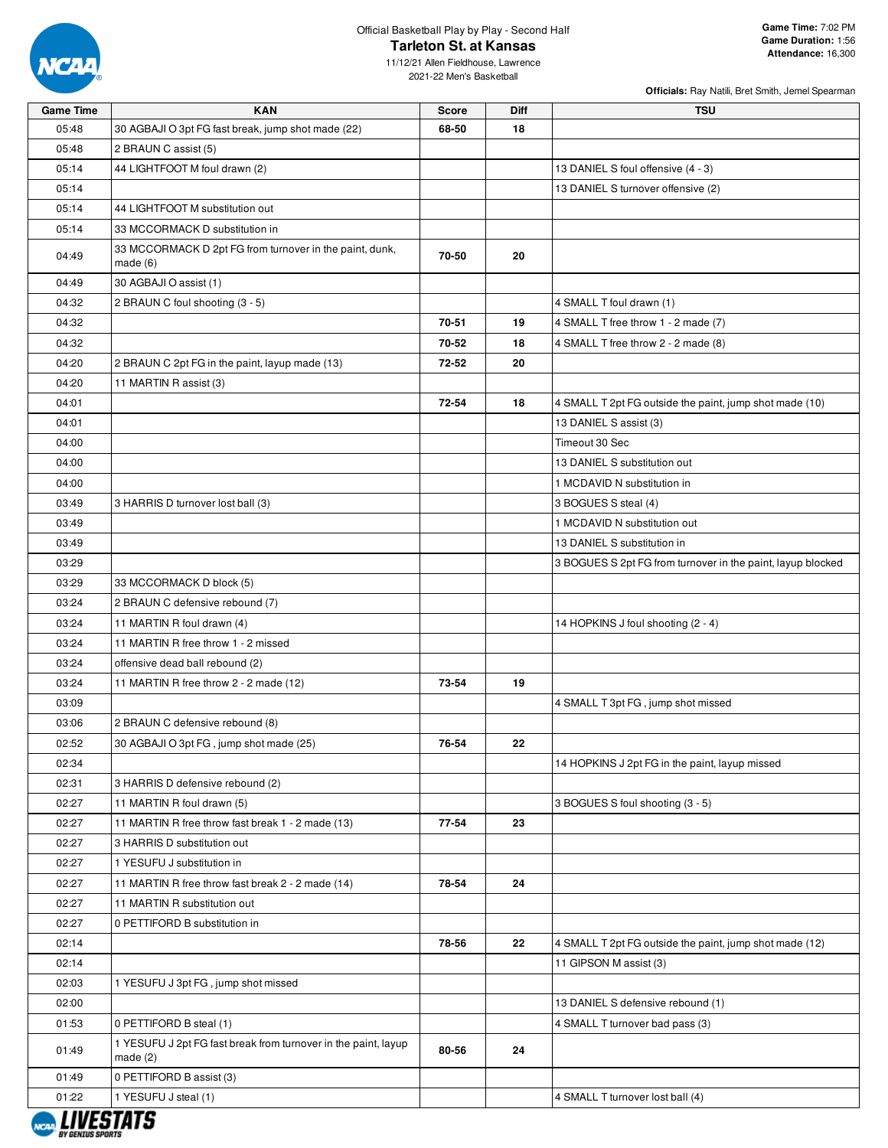

**Officials:** Ray Natili, Bret Smith, Jemel Spearman

11/12/21 Allen Fieldhouse, Lawrence 2021-22 Men's Basketball

| <b>Game Time</b> | <b>KAN</b>                                                                 | <b>Score</b> | Diff | <b>TSU</b>                                                  |
|------------------|----------------------------------------------------------------------------|--------------|------|-------------------------------------------------------------|
| 05:48            | 30 AGBAJI O 3pt FG fast break, jump shot made (22)                         | 68-50        | 18   |                                                             |
| 05:48            | 2 BRAUN C assist (5)                                                       |              |      |                                                             |
| 05:14            | 44 LIGHTFOOT M foul drawn (2)                                              |              |      | 13 DANIEL S foul offensive (4 - 3)                          |
| 05:14            |                                                                            |              |      | 13 DANIEL S turnover offensive (2)                          |
| 05:14            | 44 LIGHTFOOT M substitution out                                            |              |      |                                                             |
| 05:14            | 33 MCCORMACK D substitution in                                             |              |      |                                                             |
| 04:49            | 33 MCCORMACK D 2pt FG from turnover in the paint, dunk,<br>made(6)         | 70-50        | 20   |                                                             |
| 04:49            | 30 AGBAJI O assist (1)                                                     |              |      |                                                             |
| 04:32            | 2 BRAUN C foul shooting (3 - 5)                                            |              |      | 4 SMALL T foul drawn (1)                                    |
| 04:32            |                                                                            | 70-51        | 19   | 4 SMALL T free throw 1 - 2 made (7)                         |
| 04:32            |                                                                            | 70-52        | 18   | 4 SMALL T free throw 2 - 2 made (8)                         |
| 04:20            | 2 BRAUN C 2pt FG in the paint, layup made (13)                             | 72-52        | 20   |                                                             |
| 04:20            | 11 MARTIN R assist (3)                                                     |              |      |                                                             |
| 04:01            |                                                                            | 72-54        | 18   | 4 SMALL T 2pt FG outside the paint, jump shot made (10)     |
| 04:01            |                                                                            |              |      | 13 DANIEL S assist (3)                                      |
| 04:00            |                                                                            |              |      | Timeout 30 Sec                                              |
| 04:00            |                                                                            |              |      | 13 DANIEL S substitution out                                |
| 04:00            |                                                                            |              |      | 1 MCDAVID N substitution in                                 |
| 03:49            | 3 HARRIS D turnover lost ball (3)                                          |              |      | 3 BOGUES S steal (4)                                        |
| 03:49            |                                                                            |              |      | 1 MCDAVID N substitution out                                |
| 03:49            |                                                                            |              |      | 13 DANIEL S substitution in                                 |
| 03:29            |                                                                            |              |      | 3 BOGUES S 2pt FG from turnover in the paint, layup blocked |
| 03:29            | 33 MCCORMACK D block (5)                                                   |              |      |                                                             |
| 03:24            | 2 BRAUN C defensive rebound (7)                                            |              |      |                                                             |
| 03:24            | 11 MARTIN R foul drawn (4)                                                 |              |      | 14 HOPKINS J foul shooting (2 - 4)                          |
| 03:24            | 11 MARTIN R free throw 1 - 2 missed                                        |              |      |                                                             |
| 03:24            | offensive dead ball rebound (2)                                            |              |      |                                                             |
| 03:24            | 11 MARTIN R free throw 2 - 2 made (12)                                     | 73-54        | 19   |                                                             |
| 03:09            |                                                                            |              |      | 4 SMALL T 3pt FG, jump shot missed                          |
| 03:06            | 2 BRAUN C defensive rebound (8)                                            |              |      |                                                             |
| 02:52            | 30 AGBAJI O 3pt FG, jump shot made (25)                                    | 76-54        | 22   |                                                             |
| 02:34            |                                                                            |              |      | 14 HOPKINS J 2pt FG in the paint, layup missed              |
| 02:31            | 3 HARRIS D defensive rebound (2)                                           |              |      |                                                             |
| 02:27            | 11 MARTIN R foul drawn (5)                                                 |              |      | 3 BOGUES S foul shooting (3 - 5)                            |
| 02:27            | 11 MARTIN R free throw fast break 1 - 2 made (13)                          | 77-54        | 23   |                                                             |
| 02:27            | 3 HARRIS D substitution out                                                |              |      |                                                             |
| 02:27            | 1 YESUFU J substitution in                                                 |              |      |                                                             |
| 02:27            | 11 MARTIN R free throw fast break 2 - 2 made (14)                          | 78-54        | 24   |                                                             |
| 02:27            | 11 MARTIN R substitution out                                               |              |      |                                                             |
| 02:27            | 0 PETTIFORD B substitution in                                              |              |      |                                                             |
| 02:14            |                                                                            | 78-56        | 22   | 4 SMALL T 2pt FG outside the paint, jump shot made (12)     |
| 02:14            |                                                                            |              |      | 11 GIPSON M assist (3)                                      |
| 02:03            | 1 YESUFU J 3pt FG, jump shot missed                                        |              |      |                                                             |
| 02:00            |                                                                            |              |      | 13 DANIEL S defensive rebound (1)                           |
| 01:53            | 0 PETTIFORD B steal (1)                                                    |              |      | 4 SMALL T turnover bad pass (3)                             |
| 01:49            | 1 YESUFU J 2pt FG fast break from turnover in the paint, layup<br>made (2) | 80-56        | 24   |                                                             |
| 01:49            | 0 PETTIFORD B assist (3)                                                   |              |      |                                                             |
| 01:22            | 1 YESUFU J steal (1)                                                       |              |      | 4 SMALL T turnover lost ball (4)                            |
|                  |                                                                            |              |      |                                                             |

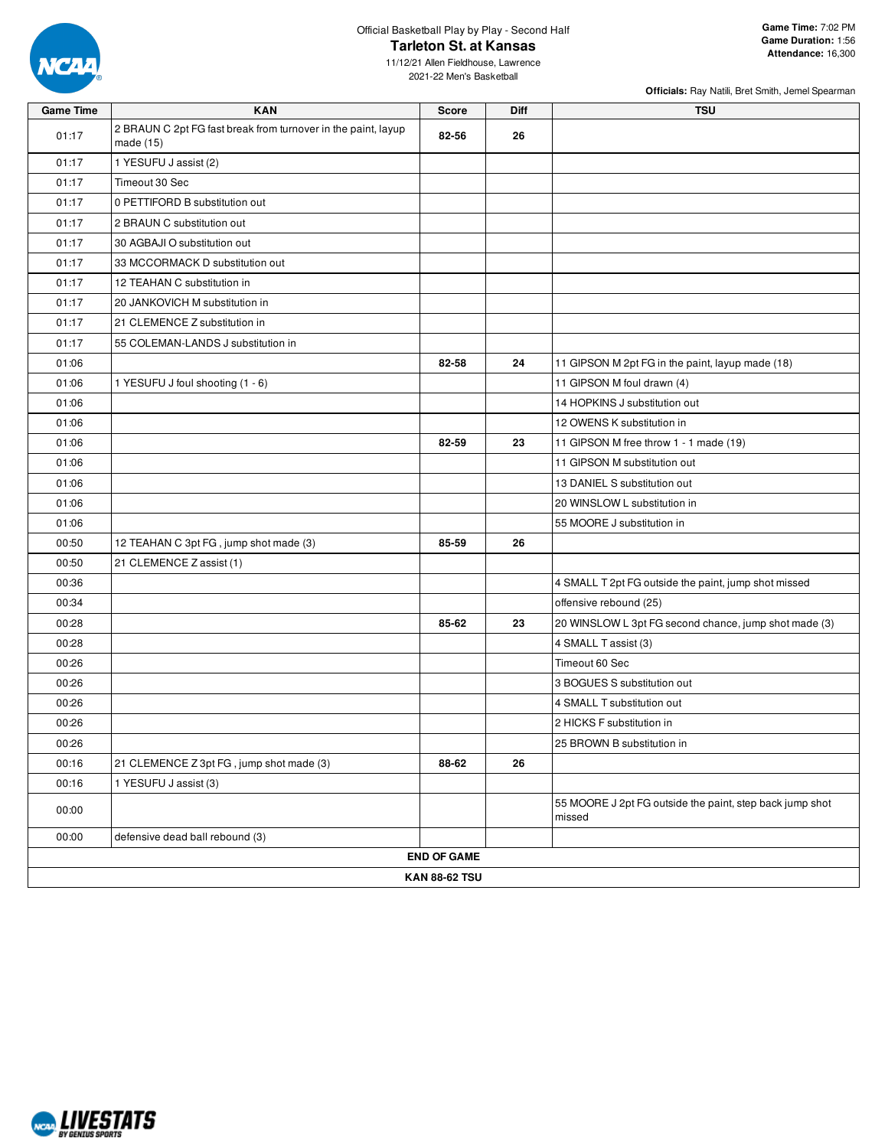

**Officials:** Ray Natili, Bret Smith, Jemel Spearman

11/12/21 Allen Fieldhouse, Lawrence 2021-22 Men's Basketball

| <b>Game Time</b> | <b>KAN</b>                                                                 | <b>Score</b>         | Diff | <b>TSU</b>                                                         |
|------------------|----------------------------------------------------------------------------|----------------------|------|--------------------------------------------------------------------|
| 01:17            | 2 BRAUN C 2pt FG fast break from turnover in the paint, layup<br>made (15) | 82-56                | 26   |                                                                    |
| 01:17            | 1 YESUFU J assist (2)                                                      |                      |      |                                                                    |
| 01:17            | Timeout 30 Sec                                                             |                      |      |                                                                    |
| 01:17            | 0 PETTIFORD B substitution out                                             |                      |      |                                                                    |
| 01:17            | 2 BRAUN C substitution out                                                 |                      |      |                                                                    |
| 01:17            | 30 AGBAJI O substitution out                                               |                      |      |                                                                    |
| 01:17            | 33 MCCORMACK D substitution out                                            |                      |      |                                                                    |
| 01:17            | 12 TEAHAN C substitution in                                                |                      |      |                                                                    |
| 01:17            | 20 JANKOVICH M substitution in                                             |                      |      |                                                                    |
| 01:17            | 21 CLEMENCE Z substitution in                                              |                      |      |                                                                    |
| 01:17            | 55 COLEMAN-LANDS J substitution in                                         |                      |      |                                                                    |
| 01:06            |                                                                            | 82-58                | 24   | 11 GIPSON M 2pt FG in the paint, layup made (18)                   |
| 01:06            | 1 YESUFU J foul shooting (1 - 6)                                           |                      |      | 11 GIPSON M foul drawn (4)                                         |
| 01:06            |                                                                            |                      |      | 14 HOPKINS J substitution out                                      |
| 01:06            |                                                                            |                      |      | 12 OWENS K substitution in                                         |
| 01:06            |                                                                            | 82-59                | 23   | 11 GIPSON M free throw 1 - 1 made (19)                             |
| 01:06            |                                                                            |                      |      | 11 GIPSON M substitution out                                       |
| 01:06            |                                                                            |                      |      | 13 DANIEL S substitution out                                       |
| 01:06            |                                                                            |                      |      | 20 WINSLOW L substitution in                                       |
| 01:06            |                                                                            |                      |      | 55 MOORE J substitution in                                         |
| 00:50            | 12 TEAHAN C 3pt FG, jump shot made (3)                                     | 85-59                | 26   |                                                                    |
| 00:50            | 21 CLEMENCE Z assist (1)                                                   |                      |      |                                                                    |
| 00:36            |                                                                            |                      |      | 4 SMALL T 2pt FG outside the paint, jump shot missed               |
| 00:34            |                                                                            |                      |      | offensive rebound (25)                                             |
| 00:28            |                                                                            | 85-62                | 23   | 20 WINSLOW L 3pt FG second chance, jump shot made (3)              |
| 00:28            |                                                                            |                      |      | 4 SMALL T assist (3)                                               |
| 00:26            |                                                                            |                      |      | Timeout 60 Sec                                                     |
| 00:26            |                                                                            |                      |      | 3 BOGUES S substitution out                                        |
| 00:26            |                                                                            |                      |      | 4 SMALL T substitution out                                         |
| 00:26            |                                                                            |                      |      | 2 HICKS F substitution in                                          |
| 00:26            |                                                                            |                      |      | 25 BROWN B substitution in                                         |
| 00:16            | 21 CLEMENCE Z 3pt FG, jump shot made (3)                                   | 88-62                | 26   |                                                                    |
| 00:16            | 1 YESUFU J assist (3)                                                      |                      |      |                                                                    |
| 00:00            |                                                                            |                      |      | 55 MOORE J 2pt FG outside the paint, step back jump shot<br>missed |
| 00:00            | defensive dead ball rebound (3)                                            |                      |      |                                                                    |
|                  |                                                                            | <b>END OF GAME</b>   |      |                                                                    |
|                  |                                                                            | <b>KAN 88-62 TSU</b> |      |                                                                    |

NCAA LIVESTATS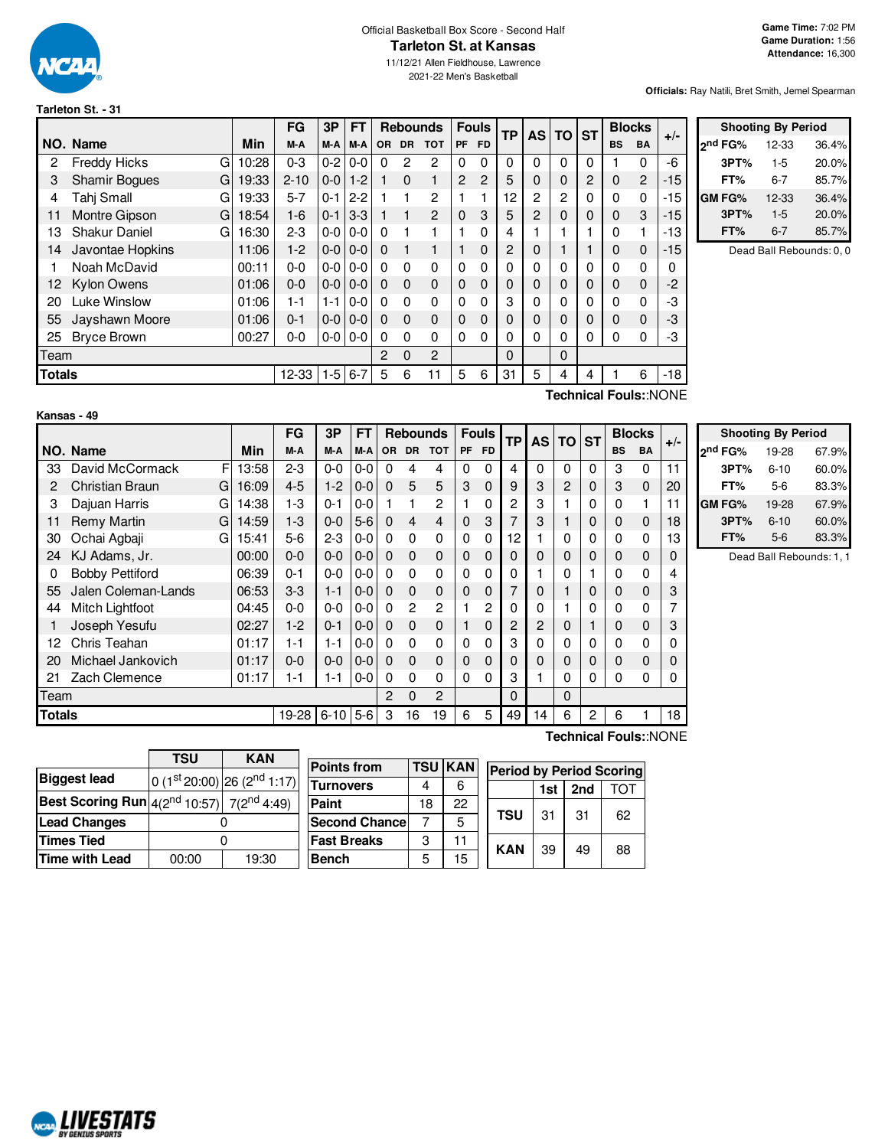

#### Official Basketball Box Score - Second Half **Tarleton St. at Kansas**

11/12/21 Allen Fieldhouse, Lawrence 2021-22 Men's Basketball

**Officials:** Ray Natili, Bret Smith, Jemel Spearman

**Shooting By Period 2 nd FG%** 12-33 36.4% **3PT%** 1-5 20.0% **FT%** 6-7 85.7%

#### **Tarleton St. - 31**

|               |                           |             | <b>FG</b>           | 3P    | FT.               |                       |              | <b>Rebounds</b> |                | <b>Fouls</b> | <b>TP</b> |              |              | AS TO ST |              | <b>Blocks</b>                        |       |               |           | <b>Shooting By Period</b> |  |
|---------------|---------------------------|-------------|---------------------|-------|-------------------|-----------------------|--------------|-----------------|----------------|--------------|-----------|--------------|--------------|----------|--------------|--------------------------------------|-------|---------------|-----------|---------------------------|--|
|               | NO. Name                  | Min         | M-A                 |       | M-A M-A OR DR TOT |                       |              |                 | <b>PF</b>      | <b>FD</b>    |           |              |              |          | <b>BS</b>    | BA                                   | $+/-$ | 2nd FG%       | 12-33     | 36.4%                     |  |
|               | <b>Freddy Hicks</b><br>G  | 10:28       | $0 - 3$             |       | $0 - 2   0 - 0  $ | 0                     | 2            | 2               | 0              | $\Omega$     |           | $\Omega$     | $\Omega$     | $\Omega$ |              | 0                                    | -6    | 3PT%          | $1-5$     | 20.0%                     |  |
|               | <b>Shamir Bogues</b>      | 19:33<br>GI | $2 - 10$            |       | $0-0$   1-2       |                       | $\Omega$     |                 | $\overline{2}$ | 2            | 5         | $\mathbf{0}$ | $\mathbf 0$  | 2        | $\mathbf{0}$ | 2                                    | $-15$ | FT%           | $6 - 7$   | 85.7%                     |  |
|               | Tahj Small                | 19:33<br>GI | $5 - 7$             |       | $0 - 1$   2-2     |                       |              | $\overline{2}$  |                |              | 12        | $\mathbf{2}$ | 2            | 0        | 0            | 0                                    | $-15$ | <b>GM FG%</b> | $12 - 33$ | 36.4%                     |  |
| 11            | Montre Gipson<br>G        | 18:54       | $1 - 6$             | l 0-1 | $ 3-3 $           |                       |              | $\overline{2}$  | $\Omega$       | 3            |           | 2            | 0            | 0        | 0            | 3                                    | $-15$ | 3PT%          | $1-5$     | 20.0%                     |  |
| 13.           | <b>Shakur Daniel</b><br>G | 16:30       | $2 - 3$             |       | $0 - 0 0 - 0$     | $\Omega$              |              |                 |                | $\Omega$     |           |              |              |          | $\Omega$     |                                      | -13   | FT%           | $6 - 7$   | 85.7%                     |  |
| 14.           | Javontae Hopkins          | 11:06       | $1-2$               |       | 0-0   0-0         | $\Omega$              |              |                 |                | $\mathbf 0$  | 2         | 0            |              |          | $\mathbf 0$  | $-15$<br>0<br>Dead Ball Rebounds: 0, |       |               |           |                           |  |
|               | Noah McDavid              | 00:11       | $0-0$               |       | $0 - 0 0 - 0$     | $\Omega$              | $\mathbf{0}$ | $\Omega$        | 0              | $\Omega$     |           | 0            | 0            | 0        | $\Omega$     | 0                                    | 0     |               |           |                           |  |
|               | 12 Kylon Owens            | 01:06       | $0 - 0$             |       | $0-0$   0-0       | $\Omega$              | $\Omega$     | $\Omega$        | $\mathbf{0}$   | $\Omega$     |           | 0            | 0            | 0        | 0            | 0                                    | $-2$  |               |           |                           |  |
| 20            | Luke Winslow              | 01:06       | $1 - 1$             |       | $1 - 1$ 0 - 0     | $\Omega$              | $\mathbf{0}$ | $\Omega$        | 0              | $\Omega$     | 3         | 0            | 0            | 0        | 0            | 0                                    | -3    |               |           |                           |  |
| 55            | Jayshawn Moore            | 01:06       | $0 - 1$             |       | $0 - 0 0 - 0$     | $\Omega$              | $\mathbf{0}$ | $\Omega$        | $\Omega$       | $\Omega$     |           | $\Omega$     | 0            | 0        | 0            | $\Omega$                             | $-3$  |               |           |                           |  |
| 25            | <b>Bryce Brown</b>        | 00:27       | $0-0$               |       | $0 - 0 0 - 0$     | $\Omega$              | $\mathbf{0}$ | $\Omega$        | 0              | $\Omega$     | 0         | $\Omega$     | 0            | 0        | 0            | 0                                    | -3    |               |           |                           |  |
| Team          |                           |             |                     |       |                   | $\mathbf{2}^{\prime}$ | $\Omega$     | $\overline{2}$  |                |              | 0         |              | $\mathbf{0}$ |          |              |                                      |       |               |           |                           |  |
| <b>Totals</b> |                           |             | $12-33$   1-5   6-7 |       |                   | 5                     | 6            | 11              | 5              | 6            | 31        | 5            | 4            | 4        |              | 6                                    | $-18$ |               |           |                           |  |

#### **Kansas - 49**

**Technical Fouls:**:NONE

|               |                        |             | FG      | 3P       | FT      |          |           | <b>Rebounds</b> |    | <b>Fouls</b><br><b>TP</b> |    | <b>AS</b> | <b>TO</b> | <b>ST</b>    |           | <b>Blocks</b> | $+/-$                 |  |
|---------------|------------------------|-------------|---------|----------|---------|----------|-----------|-----------------|----|---------------------------|----|-----------|-----------|--------------|-----------|---------------|-----------------------|--|
|               | NO. Name               | Min         | M-A     | M-A      | M-A     | OR       | <b>DR</b> | <b>TOT</b>      | PF | <b>FD</b>                 |    |           |           |              | <b>BS</b> | <b>BA</b>     |                       |  |
| 33            | David McCormack        | F<br>13:58  | $2 - 3$ | $0-0$    | $0-0$   | 0        | 4         | 4               | 0  | 0                         | 4  | $\Omega$  | $\Omega$  | 0            | 3         | 0             | 11                    |  |
| 2             | Christian Braun        | 16:09<br>GI | $4 - 5$ | $1-2$    | $0-0$   | $\Omega$ | 5         | 5               | 3  | 0                         | 9  | 3         | 2         | $\mathbf{0}$ | 3         | $\mathbf 0$   | 20                    |  |
| 3             | Dajuan Harris          | 14:38<br>GI | $1-3$   | $0 - 1$  | $0 - 0$ |          |           | 2               |    | 0                         | 2  | 3         |           | 0            | 0         | 1             | 11                    |  |
| 11            | Remy Martin            | 14:59<br>G  | $1 - 3$ | $0-0$    | $5-6$   | $\Omega$ | 4         | 4               | 0  | 3                         |    | 3         |           | $\mathbf{0}$ | 0         | 0             | 18                    |  |
| 30            | Ochai Agbaji           | 15:41<br>GI | 5-6     | $2-3$    | $0 - 0$ | 0        | 0         | 0               | 0  | 0                         | 12 |           | 0         | 0            | 0         | 0             | 13                    |  |
| 24            | KJ Adams, Jr.          | 00:00       | $0 - 0$ | $0 - 0$  | $0 - 0$ | 0        | 0         | 0               | 0  | 0                         | 0  | 0         | 0         | $\mathbf 0$  | 0         | 0             | 0                     |  |
| 0             | <b>Bobby Pettiford</b> | 06:39       | $0 - 1$ | $0-0$    | $0 - 0$ | 0        | 0         | 0               | 0  | 0                         | 0  |           | 0         |              | 0         | 0             | 4                     |  |
| 55            | Jalen Coleman-Lands    | 06:53       | $3-3$   | $1 - 1$  | $0-0$   | 0        | 0         | 0               | 0  | $\mathbf 0$               |    | 0         |           | $\mathbf{0}$ | 0         | 0             | 3                     |  |
| 44            | Mitch Lightfoot        | 04:45       | $0 - 0$ | $0 - 0$  | $0-0$   | 0        | 2         | 2               |    | 2                         | 0  | 0         |           | $\Omega$     | ი         | 0             |                       |  |
|               | Joseph Yesufu          | 02:27       | $1-2$   | $0 - 1$  | $0 - 0$ | 0        | 0         | 0               |    | 0                         | 2  | 2         | 0         |              | 0         | 0             | 3                     |  |
| 12            | Chris Teahan           | 01:17       | 1-1     | 1-1      | $0 - 0$ | $\Omega$ | 0         | 0               | 0  | 0                         | 3  | 0         | 0         | 0            | 0         | 0             | 0                     |  |
| 20            | Michael Jankovich      | 01:17       | $0 - 0$ | $0 - 0$  | $0 - 0$ | 0        | 0         | 0               | 0  | 0                         | 0  | 0         | 0         | $\mathbf{0}$ | 0         | 0             | 0                     |  |
| 21            | Zach Clemence          | 01:17       | 1-1     | 1-1      | $0 - 0$ | 0        | 0         | 0               | 0  | 0                         | 3  |           | 0         | 0            | 0         | 0             | 0                     |  |
| Team          |                        |             |         |          |         | 2        | 0         | $\overline{c}$  |    |                           | 0  |           | 0         |              |           |               |                       |  |
| <b>Totals</b> |                        |             | 19-28   | $6 - 10$ | $5-6$   | 3        | 16        | 19              | 6  | 5                         | 49 | 14        | 6         | 2            | 6         |               | 18                    |  |
|               |                        |             |         |          |         |          |           |                 |    |                           |    |           |           |              |           |               | Technical Fouls::NONE |  |

|                     | <b>Shooting By Period</b> |       |
|---------------------|---------------------------|-------|
| 2 <sup>nd</sup> FG% | 19-28                     | 67.9% |
| 3PT%                | $6 - 10$                  | 60.0% |
| FT%                 | 5-6                       | 83.3% |
| GM FG%              | 19-28                     | 67.9% |
| 3PT%                | $6 - 10$                  | 60.0% |
| FT%                 | $5-6$                     | 83.3% |

Dead Ball Rebounds: 1, 1

|                                                                     | <b>TSU</b><br><b>KAN</b> |                                 |  |  |  |  |  |
|---------------------------------------------------------------------|--------------------------|---------------------------------|--|--|--|--|--|
| <b>Biggest lead</b>                                                 |                          | 0 $(1st 20:00)$ 26 $(2nd 1:17)$ |  |  |  |  |  |
| <b>Best Scoring Run</b> $ 4(2^{nd} 10:57) $ 7(2 <sup>nd</sup> 4:49) |                          |                                 |  |  |  |  |  |
| <b>Lead Changes</b>                                                 |                          |                                 |  |  |  |  |  |
| <b>Times Tied</b>                                                   |                          |                                 |  |  |  |  |  |
| <b>Time with Lead</b>                                               | 00:00                    | 19:30                           |  |  |  |  |  |

NCAL LIVESTATS

| <b>Points from</b>    | TSU | <b>KAN</b> | <b>Period by Period Scoring</b> |            |     |     |     |  |  |  |  |
|-----------------------|-----|------------|---------------------------------|------------|-----|-----|-----|--|--|--|--|
| <b>Turnovers</b>      |     |            |                                 |            | 1st | 2nd | гот |  |  |  |  |
| Paint                 | 18  | 22         |                                 |            |     |     |     |  |  |  |  |
| <b>Second Chancel</b> |     | 5          |                                 | <b>TSU</b> | 31  | 31  | 62  |  |  |  |  |
| <b>Fast Breaks</b>    | 3   | 11         |                                 | <b>KAN</b> |     | 49  |     |  |  |  |  |
| <b>Bench</b>          | 5   | 15         |                                 |            | 39  |     | 88  |  |  |  |  |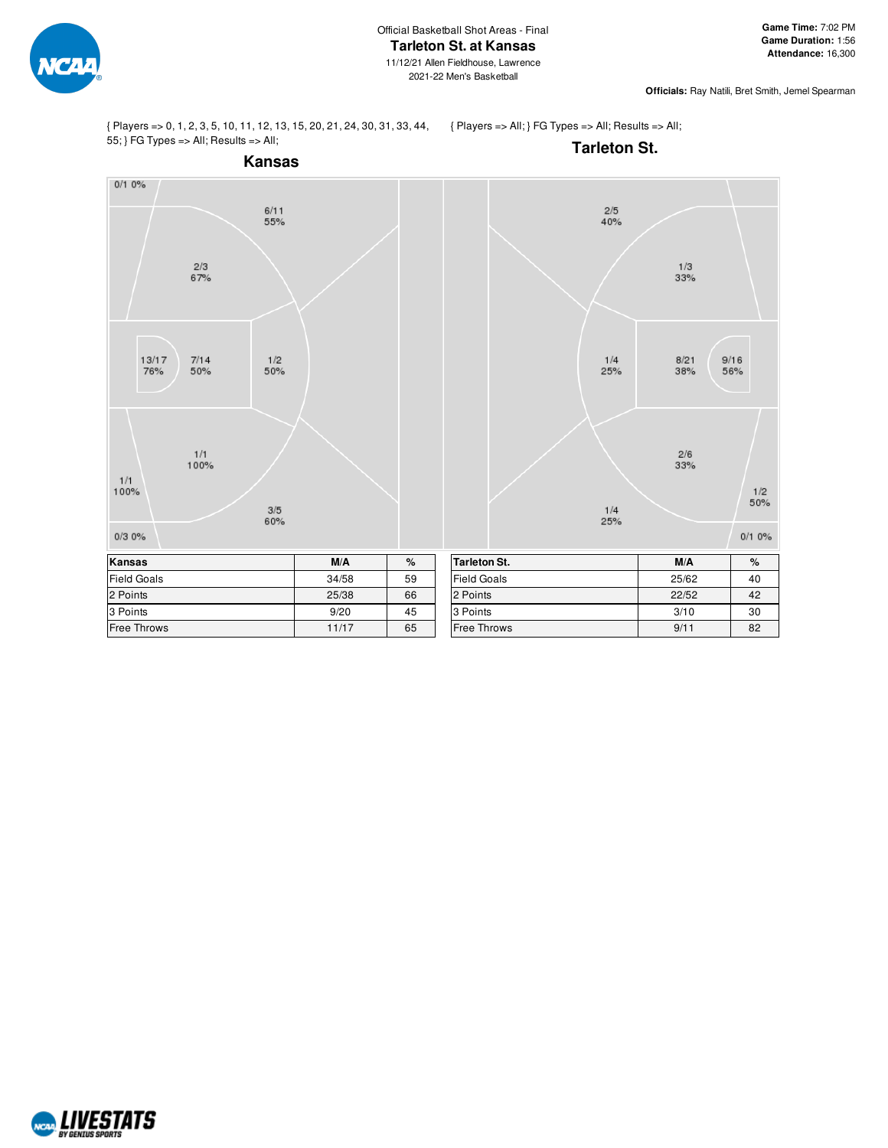

**Officials:** Ray Natili, Bret Smith, Jemel Spearman

{ Players => 0, 1, 2, 3, 5, 10, 11, 12, 13, 15, 20, 21, 24, 30, 31, 33, 44, 55; } FG Types => All; Results => All;

{ Players => All; } FG Types => All; Results => All;



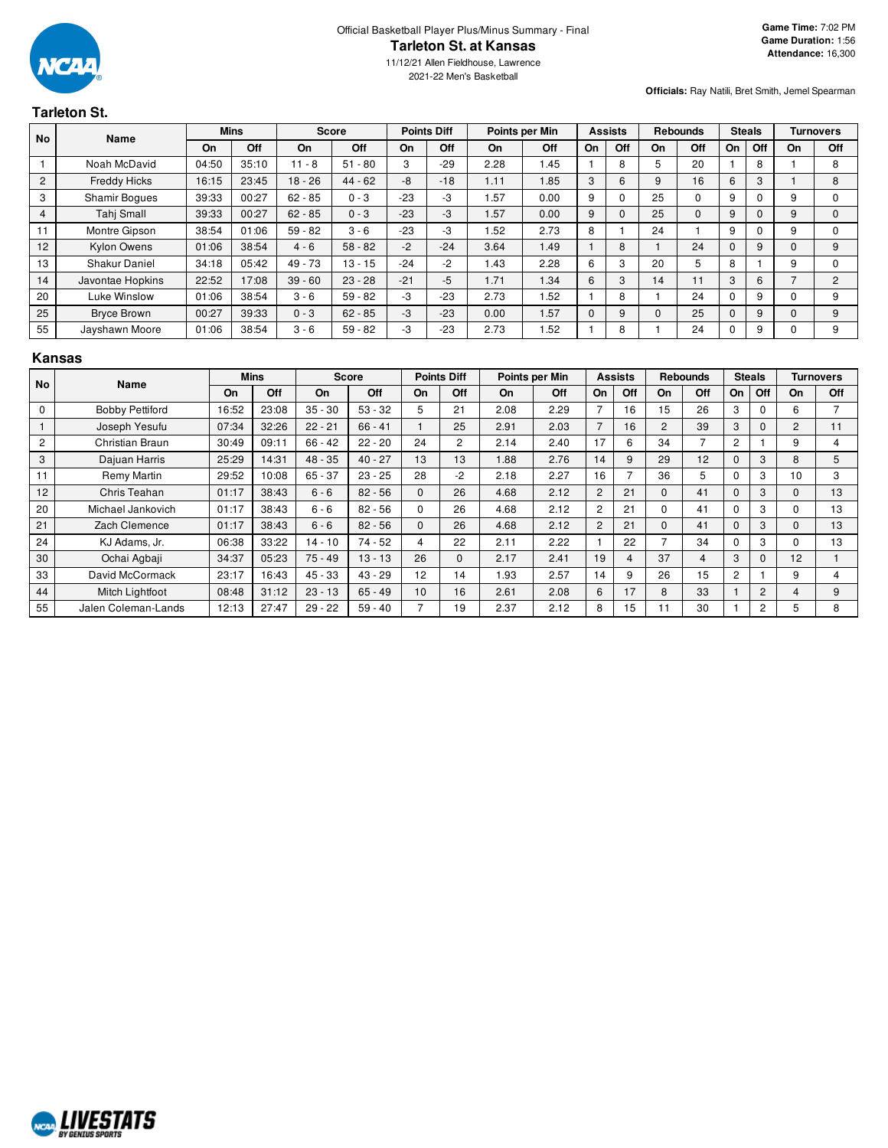

2021-22 Men's Basketball

**Officials:** Ray Natili, Bret Smith, Jemel Spearman

# **Tarleton St.**

| <b>No</b>      | Name                 |       | <b>Mins</b> |           | <b>Score</b> |       | <b>Points Diff</b> |      | Points per Min |          | <b>Assists</b> |          | <b>Rebounds</b> | <b>Steals</b> |     |    | <b>Turnovers</b> |
|----------------|----------------------|-------|-------------|-----------|--------------|-------|--------------------|------|----------------|----------|----------------|----------|-----------------|---------------|-----|----|------------------|
|                |                      | On    | Off         | On        | Off          | On    | Off                | On   | Off            | On       | Off            | On       | Off             | On            | Off | On | Off              |
|                | Noah McDavid         | 04:50 | 35:10       | $11 - 8$  | $51 - 80$    | 3     | $-29$              | 2.28 | 1.45           |          | 8              | 5.       | 20              |               | 8   |    | 8                |
| $\overline{2}$ | <b>Freddy Hicks</b>  | 16:15 | 23:45       | $18 - 26$ | $44 - 62$    | $-8$  | $-18$              | 1.11 | 1.85           | 3        | 6              | 9        | 16              | 6             | 3   |    | 8                |
| 3              | <b>Shamir Boques</b> | 39:33 | 00:27       | $62 - 85$ | $0 - 3$      | $-23$ | -3                 | .57  | 0.00           | 9        | 0              | 25       | $\Omega$        | 9             | 0   | 9  |                  |
| $\overline{4}$ | Tahj Small           | 39:33 | 00:27       | $62 - 85$ | $0 - 3$      | $-23$ | -3                 | .57  | 0.00           | 9        | $\Omega$       | 25       | $\Omega$        | 9             | 0   | 9  |                  |
| 11             | Montre Gipson        | 38:54 | 01:06       | $59 - 82$ | $3 - 6$      | $-23$ | -3                 | 1.52 | 2.73           | 8        |                | 24       |                 | 9             | 0   | 9  |                  |
| 12             | Kylon Owens          | 01:06 | 38:54       | $4 - 6$   | $58 - 82$    | $-2$  | $-24$              | 3.64 | 1.49           |          | 8              |          | 24              | $\Omega$      | 9   |    | 9                |
| 13             | <b>Shakur Daniel</b> | 34:18 | 05:42       | 49 - 73   | $13 - 15$    | $-24$ | $-2$               | 1.43 | 2.28           | 6        | 3              | 20       | 5               | 8             |     | 9  |                  |
| 14             | Javontae Hopkins     | 22:52 | 17:08       | $39 - 60$ | $23 - 28$    | $-21$ | $-5$               | 1.71 | 1.34           | 6        | 3              | 14       | 11              | 3             | 6   |    | 2                |
| 20             | Luke Winslow         | 01:06 | 38:54       | $3 - 6$   | $59 - 82$    | -3    | $-23$              | 2.73 | 1.52           |          | 8              |          | 24              | 0             | 9   |    | 9                |
| 25             | <b>Bryce Brown</b>   | 00:27 | 39:33       | $0 - 3$   | $62 - 85$    | -3    | $-23$              | 0.00 | 1.57           | $\Omega$ | 9              | $\Omega$ | 25              | $\Omega$      | 9   |    | 9                |
| 55             | Jayshawn Moore       | 01:06 | 38:54       | $3 - 6$   | $59 - 82$    | -3    | $-23$              | 2.73 | 1.52           |          | 8              |          | 24              |               | 9   |    | 9                |

#### **Kansas**

| No             | Name                   |       | <b>Mins</b> |           | <b>Score</b> |          | <b>Points Diff</b> | Points per Min |      |                | <b>Assists</b>           |          | <b>Rebounds</b> | <b>Steals</b>  |                |          | <b>Turnovers</b> |
|----------------|------------------------|-------|-------------|-----------|--------------|----------|--------------------|----------------|------|----------------|--------------------------|----------|-----------------|----------------|----------------|----------|------------------|
|                |                        | On    | Off         | On        | Off          | On       | Off                | On             | Off  | On             | Off                      | On       | Off             | <b>On</b>      | Off            | On       | <b>Off</b>       |
| $\mathbf 0$    | <b>Bobby Pettiford</b> | 16:52 | 23:08       | $35 - 30$ | $53 - 32$    | 5        | 21                 | 2.08           | 2.29 |                | 16                       | 15       | 26              | 3              | $\Omega$       | 6        |                  |
|                | Joseph Yesufu          | 07:34 | 32:26       | $22 - 21$ | $66 - 41$    |          | 25                 | 2.91           | 2.03 | $\overline{7}$ | 16                       | 2        | 39              | 3              | $\Omega$       | 2        | 11               |
| $\overline{c}$ | Christian Braun        | 30:49 | 09:11       | $66 - 42$ | $22 - 20$    | 24       | 2                  | 2.14           | 2.40 | 17             | 6                        | 34       | 7               | 2              |                | 9        | 4                |
| 3              | Dajuan Harris          | 25:29 | 14:31       | $48 - 35$ | $40 - 27$    | 13       | 13                 | 1.88           | 2.76 | 14             | 9                        | 29       | 12              | $\mathbf{0}$   | 3              | 8        | 5                |
| 11             | Remy Martin            | 29:52 | 10:08       | $65 - 37$ | $23 - 25$    | 28       | $-2$               | 2.18           | 2.27 | 16             | $\overline{\phantom{a}}$ | 36       | 5               | 0              | 3              | 10       | 3                |
| 12             | Chris Teahan           | 01:17 | 38:43       | $6 - 6$   | $82 - 56$    | $\Omega$ | 26                 | 4.68           | 2.12 | $\overline{2}$ | 21                       | $\Omega$ | 41              | $\Omega$       | 3              | $\Omega$ | 13               |
| 20             | Michael Jankovich      | 01:17 | 38:43       | $6 - 6$   | $82 - 56$    | $\Omega$ | 26                 | 4.68           | 2.12 | $\overline{c}$ | 21                       | 0        | 41              | $\Omega$       | 3              | $\Omega$ | 13               |
| 21             | Zach Clemence          | 01:17 | 38:43       | $6 - 6$   | $82 - 56$    | $\Omega$ | 26                 | 4.68           | 2.12 | $\overline{2}$ | 21                       | $\Omega$ | 41              | $\Omega$       | 3              | $\Omega$ | 13               |
| 24             | KJ Adams, Jr.          | 06:38 | 33:22       | $14 - 10$ | $74 - 52$    | 4        | 22                 | 2.11           | 2.22 |                | 22                       |          | 34              | 0              | 3              | 0        | 13               |
| 30             | Ochai Agbaji           | 34:37 | 05:23       | $75 - 49$ | $13 - 13$    | 26       | $\Omega$           | 2.17           | 2.41 | 19             | $\overline{4}$           | 37       | 4               | 3              | $\Omega$       | 12       |                  |
| 33             | David McCormack        | 23:17 | 16:43       | $45 - 33$ | $43 - 29$    | 12       | 14                 | 1.93           | 2.57 | 14             | 9                        | 26       | 15              | $\overline{c}$ |                | 9        | 4                |
| 44             | Mitch Lightfoot        | 08:48 | 31:12       | $23 - 13$ | $65 - 49$    | 10       | 16                 | 2.61           | 2.08 | 6              | 17                       | 8        | 33              |                | $\overline{2}$ | 4        | 9                |
| 55             | Jalen Coleman-Lands    | 12:13 | 27:47       | $29 - 22$ | $59 - 40$    |          | 19                 | 2.37           | 2.12 | 8              | 15                       | 11       | 30              |                | 2              | 5        | 8                |

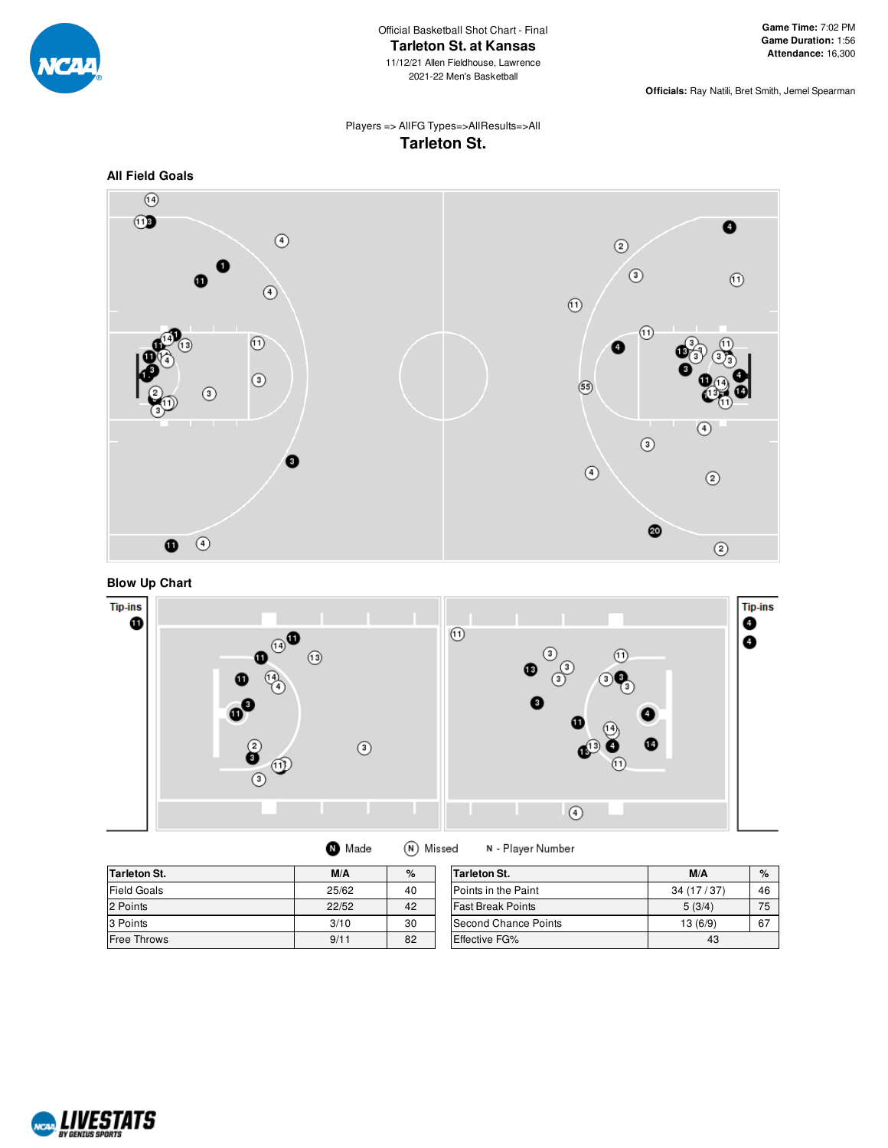

**Officials:** Ray Natili, Bret Smith, Jemel Spearman

# Players => AllFG Types=>AllResults=>All **Tarleton St.**





**Blow Up Chart**



| <b>Tarleton St.</b> | M/A   | $\%$ | Tarleton St.             | M/A        | $\%$ |
|---------------------|-------|------|--------------------------|------------|------|
| Field Goals         | 25/62 | 40   | Points in the Paint      | 34 (17/37) | 46   |
| 2 Points            | 22/52 | 42   | <b>Fast Break Points</b> | 5(3/4)     | 75   |
| 3 Points            | 3/10  | 30   | Second Chance Points     | 13(6/9)    | 67   |
| <b>Free Throws</b>  | 9/11  | 82   | Effective FG%            | 43         |      |

(N) Missed

N - Player Number

**O** Made

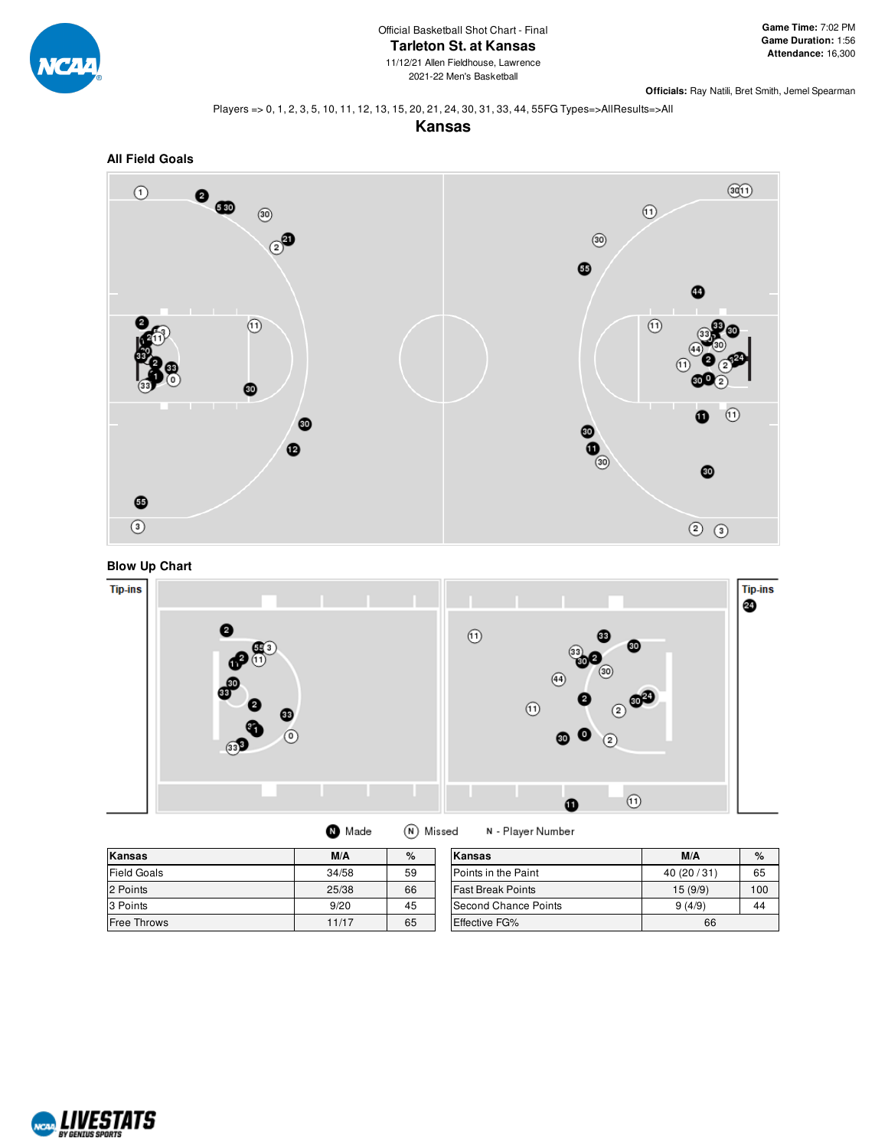

**Officials:** Ray Natili, Bret Smith, Jemel Spearman

#### Players => 0, 1, 2, 3, 5, 10, 11, 12, 13, 15, 20, 21, 24, 30, 31, 33, 44, 55FG Types=>AllResults=>All

**Kansas**





# **Blow Up Chart**



| Made | (N) Missed |  |
|------|------------|--|
|------|------------|--|

| Kansas             | M/A   | $\%$ | Kansas                   | M/A          | %   |
|--------------------|-------|------|--------------------------|--------------|-----|
| <b>Field Goals</b> | 34/58 | 59   | Points in the Paint      | 40 (20 / 31) | 65  |
| 2 Points           | 25/38 | 66   | <b>Fast Break Points</b> | 15 (9/9)     | 100 |
| 3 Points           | 9/20  | 45   | Second Chance Points     | 9(4/9)       | 44  |
| Free Throws        | 11/17 | 65   | Effective FG%            | 66           |     |

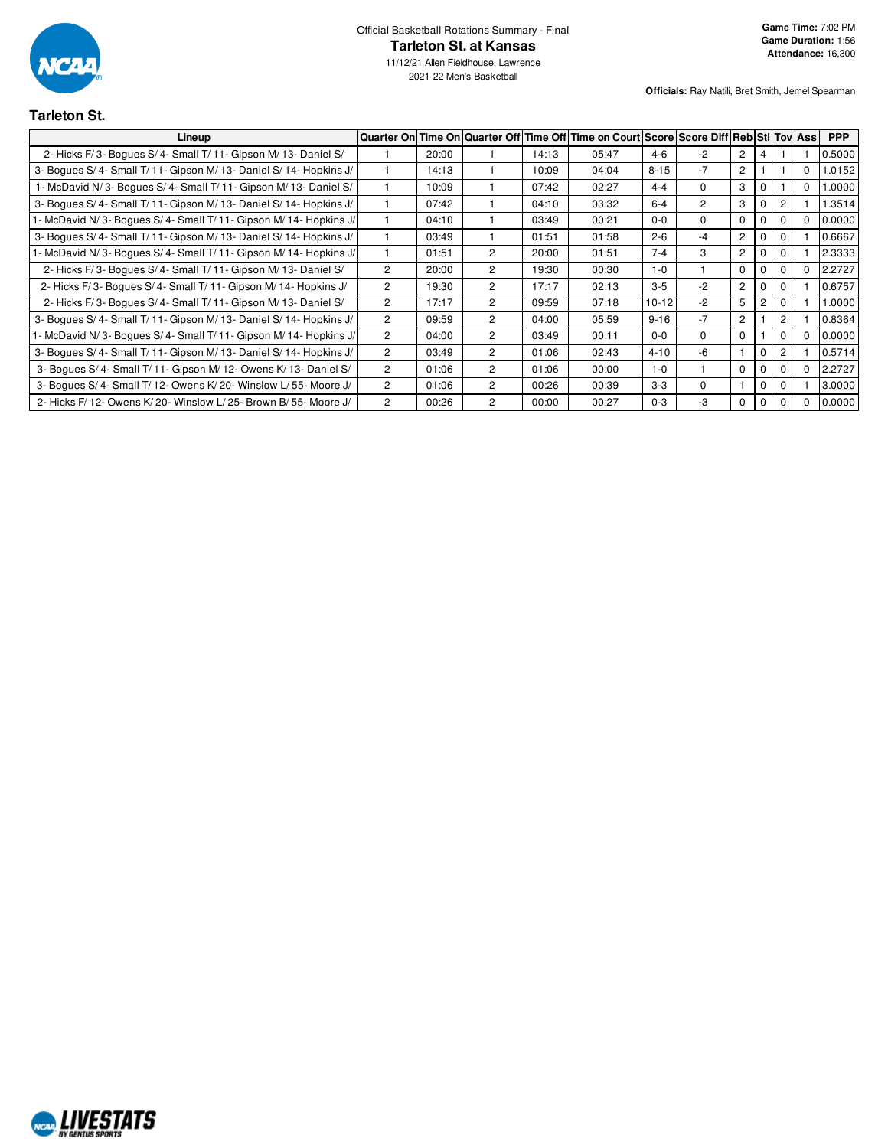

2021-22 Men's Basketball

**Officials:** Ray Natili, Bret Smith, Jemel Spearman

# **Tarleton St.**

| Lineup                                                            |                      |       |                |       | Quarter On Time On Quarter Off Time Off Time on Court Score Score Diff Reb Sti Tov Ass |           |                |                |              |                |          | <b>PPP</b> |
|-------------------------------------------------------------------|----------------------|-------|----------------|-------|----------------------------------------------------------------------------------------|-----------|----------------|----------------|--------------|----------------|----------|------------|
| 2- Hicks F/3- Boques S/4- Small T/11- Gipson M/13- Daniel S/      |                      | 20:00 |                | 14:13 | 05:47                                                                                  | $4 - 6$   | $-2$           | $\overline{2}$ | 4            |                |          | 0.5000     |
| 3- Boques S/4- Small T/11- Gipson M/13- Daniel S/14- Hopkins J/   |                      | 14:13 |                | 10:09 | 04:04                                                                                  | $8 - 15$  | $-7$           | $\overline{2}$ |              |                | 0        | 1.0152     |
| 1- McDavid N/3- Boques S/4- Small T/11- Gipson M/13- Daniel S/    |                      | 10:09 |                | 07:42 | 02:27                                                                                  | $4 - 4$   | $\Omega$       | 3              | $\mathbf 0$  |                | 0        | 1.0000     |
| 3- Boques S/4- Small T/11- Gipson M/13- Daniel S/14- Hopkins J/   |                      | 07:42 |                | 04:10 | 03:32                                                                                  | $6 - 4$   | $\overline{2}$ | 3              | $\mathbf 0$  | $\mathbf{2}$   |          | 1.3514     |
| - McDavid N/3- Bogues S/4- Small T/11- Gipson M/14- Hopkins J/    |                      | 04:10 |                | 03:49 | 00:21                                                                                  | $0 - 0$   | $\Omega$       | $\mathbf 0$    | $\mathbf 0$  | $\Omega$       | 0        | 0.0000     |
| 3- Boques S/4- Small T/11- Gipson M/13- Daniel S/14- Hopkins J/   |                      | 03:49 |                | 01:51 | 01:58                                                                                  | $2 - 6$   | $-4$           | $\overline{2}$ | 0            | 0              |          | 0.6667     |
| - McDavid N/3- Boques S/4- Small T/11- Gipson M/14- Hopkins J/    |                      | 01:51 | 2              | 20:00 | 01:51                                                                                  | $7 - 4$   | 3              | $\overline{2}$ | $\mathbf 0$  | $\mathbf{0}$   |          | 2.3333     |
| 2- Hicks F/3- Bogues S/4- Small T/11- Gipson M/13- Daniel S/      | $\mathbf{2}^{\circ}$ | 20:00 | $\overline{2}$ | 19:30 | 00:30                                                                                  | $1-0$     |                | $\Omega$       | $\mathbf{0}$ | $\Omega$       | $^{(1)}$ | 2.2727     |
| 2- Hicks F/3- Boques S/4- Small T/11- Gipson M/14- Hopkins J/     | $\overline{2}$       | 19:30 | 2              | 17:17 | 02:13                                                                                  | $3 - 5$   | $-2$           | $\overline{2}$ | 0            | $\Omega$       |          | 0.6757     |
| 2- Hicks F/3- Boques S/4- Small T/11- Gipson M/13- Daniel S/      | $\overline{2}$       | 17:17 | $\overline{2}$ | 09:59 | 07:18                                                                                  | $10 - 12$ | $-2$           | 5              | 2            | $\Omega$       |          | 1.0000     |
| 3- Bogues S/4- Small T/11- Gipson M/13- Daniel S/14- Hopkins J/   | $\overline{2}$       | 09:59 | 2              | 04:00 | 05:59                                                                                  | $9 - 16$  | $-7$           | $\overline{2}$ |              | $\overline{2}$ |          | 0.8364     |
| - McDavid N/3- Boques S/4- Small T/11- Gipson M/14- Hopkins J/    | $\overline{2}$       | 04:00 | $\overline{2}$ | 03:49 | 00:11                                                                                  | $0 - 0$   | $\Omega$       | $\mathbf 0$    |              | $\Omega$       | 0        | 0.0000     |
| 3- Bogues S/4- Small T/11- Gipson M/13- Daniel S/14- Hopkins J/   | $\mathbf{2}^{\circ}$ | 03:49 | 2              | 01:06 | 02:43                                                                                  | $4 - 10$  | -6             |                | $\mathbf{0}$ | 2              |          | 0.5714     |
| 3- Boques S/4- Small T/11- Gipson M/12- Owens K/13- Daniel S/     | $\overline{2}$       | 01:06 | $\overline{2}$ | 01:06 | 00:00                                                                                  | $1 - 0$   |                | $\Omega$       | $\Omega$     | $\Omega$       | 0        | 2.2727     |
| 3- Boques S/4- Small T/12- Owens K/20- Winslow L/55- Moore J/     | $\overline{2}$       | 01:06 | 2              | 00:26 | 00:39                                                                                  | $3-3$     | $\Omega$       |                | $\mathbf{0}$ | $\Omega$       |          | 3.0000     |
| 2- Hicks F/ 12- Owens K/ 20- Winslow L/ 25- Brown B/ 55- Moore J/ | $\overline{2}$       | 00:26 | $\overline{2}$ | 00:00 | 00:27                                                                                  | $0 - 3$   | -3             | 0              | $\mathbf{0}$ |                |          | 0.0000     |

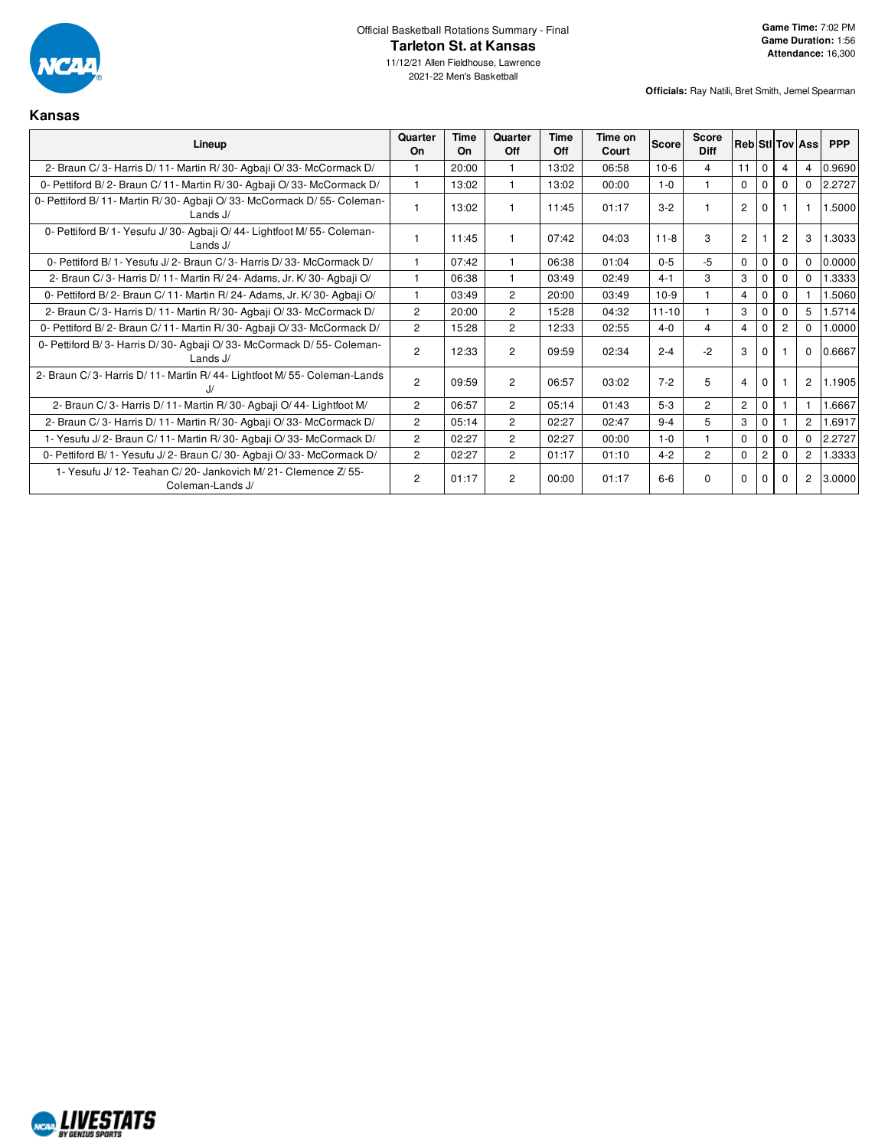

11/12/21 Allen Fieldhouse, Lawrence 2021-22 Men's Basketball

| Kansas                                                                                 |                      |            |                |             |                  |              |                      |                |                |                |                        |            |
|----------------------------------------------------------------------------------------|----------------------|------------|----------------|-------------|------------------|--------------|----------------------|----------------|----------------|----------------|------------------------|------------|
| Lineup                                                                                 | Quarter<br><b>On</b> | Time<br>On | Quarter<br>Off | Time<br>Off | Time on<br>Court | <b>Score</b> | Score<br><b>Diff</b> |                |                |                | <b>RebiStilToviAss</b> | <b>PPP</b> |
| 2- Braun C/3- Harris D/11- Martin R/30- Agbaji O/33- McCormack D/                      |                      | 20:00      | 1              | 13:02       | 06:58            | $10-6$       | 4                    | 11             | $\Omega$       |                | 4                      | 0.9690     |
| 0- Pettiford B/2- Braun C/11- Martin R/30- Agbaji O/33- McCormack D/                   |                      | 13:02      | 1              | 13:02       | 00:00            | $1 - 0$      | $\mathbf{1}$         | $\Omega$       | $\Omega$       | $\Omega$       | $\Omega$               | 2.2727     |
| 0- Pettiford B/11- Martin R/30- Agbaji O/33- McCormack D/55- Coleman-<br>Lands J/      |                      | 13:02      | 1              | 11:45       | 01:17            | $3-2$        |                      | $\overline{2}$ | $\Omega$       |                |                        | 1.5000     |
| 0- Pettiford B/ 1- Yesufu J/ 30- Agbaji O/ 44- Lightfoot M/ 55- Coleman-<br>Lands $J/$ |                      | 11:45      | 1              | 07:42       | 04:03            | $11 - 8$     | 3                    | $\overline{2}$ |                | $\overline{c}$ | 3                      | 1.3033     |
| 0- Pettiford B/ 1- Yesufu J/ 2- Braun C/ 3- Harris D/ 33- McCormack D/                 |                      | 07:42      | 1              | 06:38       | 01:04            | $0 - 5$      | $-5$                 | $\Omega$       | $\mathbf{0}$   | $\Omega$       | $\Omega$               | 0.0000     |
| 2- Braun C/3- Harris D/11- Martin R/24- Adams, Jr. K/30- Agbaii O/                     |                      | 06:38      | 1              | 03:49       | 02:49            | $4 - 1$      | 3                    | 3              | $\Omega$       | $\Omega$       | $\Omega$               | 1.3333     |
| 0- Pettiford B/2- Braun C/11- Martin R/24- Adams, Jr. K/30- Agbaji O/                  |                      | 03:49      | 2              | 20:00       | 03:49            | $10-9$       |                      | $\overline{4}$ | $\mathbf 0$    | 0              |                        | .5060      |
| 2- Braun C/3- Harris D/11- Martin R/30- Agbaji O/33- McCormack D/                      | $\overline{2}$       | 20:00      | $\overline{c}$ | 15:28       | 04:32            | $11 - 10$    | 1                    | 3              | 0              | $\Omega$       | 5                      | 1.5714     |
| 0- Pettiford B/2- Braun C/11- Martin R/30- Agbaji O/33- McCormack D/                   | $\overline{2}$       | 15:28      | $\overline{2}$ | 12:33       | 02:55            | $4 - 0$      | 4                    | $\overline{4}$ | $\Omega$       | $\overline{2}$ | $\Omega$               | 1.0000     |
| 0- Pettiford B/3- Harris D/30- Agbaji O/33- McCormack D/55- Coleman-<br>Lands $J/$     | $\overline{2}$       | 12:33      | $\overline{2}$ | 09:59       | 02:34            | $2 - 4$      | $-2$                 | 3              | $\Omega$       |                | $\mathbf 0$            | 0.6667     |
| 2- Braun C/3- Harris D/11- Martin R/44- Lightfoot M/55- Coleman-Lands<br>J/            | $\overline{2}$       | 09:59      | $\overline{2}$ | 06:57       | 03:02            | $7 - 2$      | 5                    | $\overline{4}$ | $\Omega$       |                | 2                      | 1.1905     |
| 2- Braun C/3- Harris D/11- Martin R/30- Agbaji O/44- Lightfoot M/                      | $\overline{2}$       | 06:57      | $\overline{2}$ | 05:14       | 01:43            | $5-3$        | $\overline{2}$       | $\overline{2}$ | $\mathbf 0$    |                |                        | 1.6667     |
| 2- Braun C/3- Harris D/11- Martin R/30- Agbaji O/33- McCormack D/                      | $\overline{2}$       | 05:14      | $\overline{c}$ | 02:27       | 02:47            | $9 - 4$      | 5                    | 3              | $\Omega$       |                | $\overline{2}$         | 1.6917     |
| 1- Yesufu J/2- Braun C/11- Martin R/30- Agbaji O/33- McCormack D/                      | $\overline{2}$       | 02:27      | $\overline{2}$ | 02:27       | 00:00            | $1 - 0$      | $\mathbf{1}$         | $\mathbf 0$    | $\Omega$       | 0              | $\Omega$               | 2.2727     |
| 0- Pettiford B/1- Yesufu J/2- Braun C/30- Agbaji O/33- McCormack D/                    | $\overline{2}$       | 02:27      | $\overline{2}$ | 01:17       | 01:10            | $4 - 2$      | $\overline{2}$       | $\Omega$       | $\overline{2}$ | $\Omega$       | $\overline{2}$         | 1.3333     |
| 1- Yesufu J/ 12- Teahan C/ 20- Jankovich M/ 21- Clemence Z/ 55-<br>Coleman-Lands J/    | $\overline{c}$       | 01:17      | 2              | 00:00       | 01:17            | $6 - 6$      | $\Omega$             | $\mathbf 0$    | $\Omega$       | $\Omega$       | 2                      | 3.0000     |

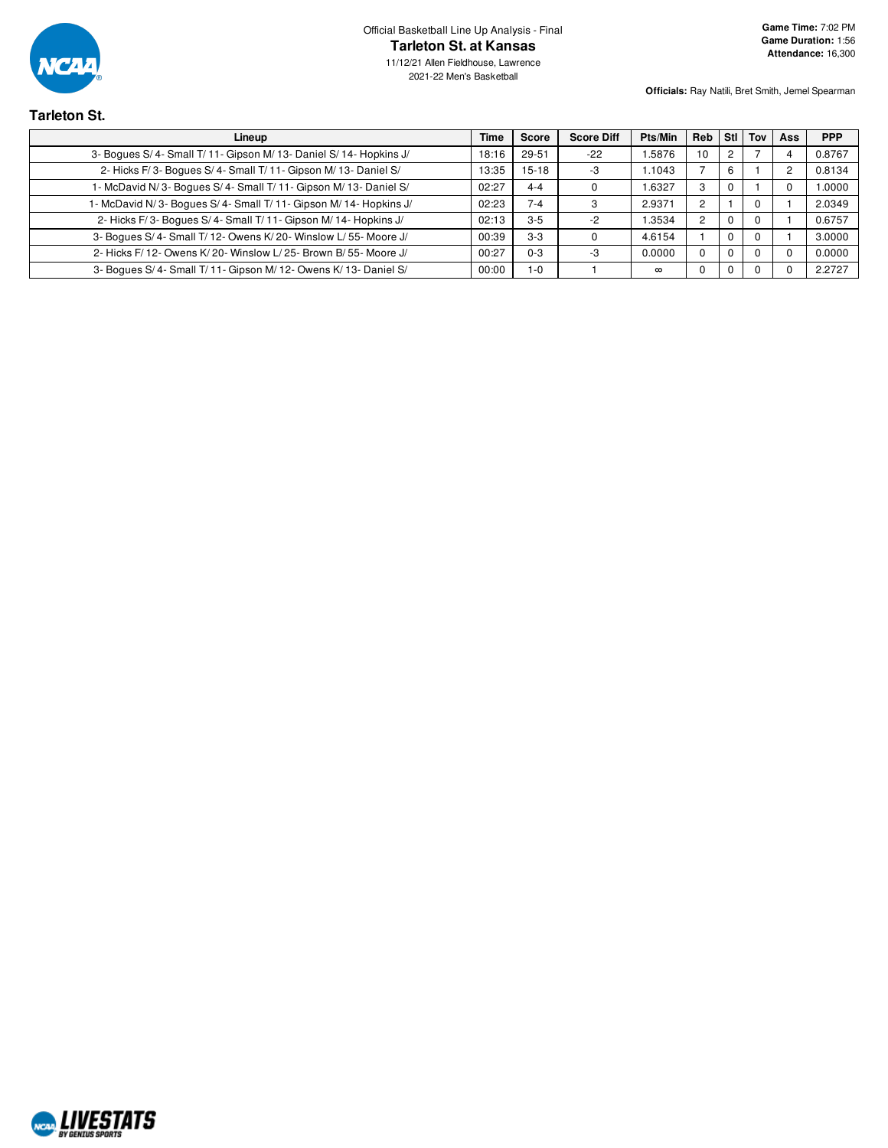

Official Basketball Line Up Analysis - Final **Tarleton St. at Kansas**

**Officials:** Ray Natili, Bret Smith, Jemel Spearman

# **Tarleton St.**

| Lineup                                                            | Time  | <b>Score</b> | <b>Score Diff</b> | <b>Pts/Min</b> | Reb            | Stl | Tov | Ass            | <b>PPP</b> |
|-------------------------------------------------------------------|-------|--------------|-------------------|----------------|----------------|-----|-----|----------------|------------|
| 3- Bogues S/4- Small T/11- Gipson M/13- Daniel S/14- Hopkins J/   | 18:16 | 29-51        | $-22$             | 1.5876         | 10             |     |     |                | 0.8767     |
| 2- Hicks F/3- Boques S/4- Small T/11- Gipson M/13- Daniel S/      | 13:35 | 15-18        | -3                | 1.1043         |                | 6   |     | $\overline{2}$ | 0.8134     |
| 1- McDavid N/3- Bogues S/4- Small T/11- Gipson M/13- Daniel S/    | 02:27 | $4 - 4$      |                   | 1.6327         | 3              |     |     |                | 1.0000     |
| 1- McDavid N/3- Boques S/4- Small T/11- Gipson M/14- Hopkins J/   | 02:23 | $7 - 4$      |                   | 2.9371         | $\overline{2}$ |     |     |                | 2.0349     |
| 2- Hicks F/3- Boques S/4- Small T/11- Gipson M/14- Hopkins J/     | 02:13 | $3-5$        | -2                | 1.3534         | $\overline{c}$ |     |     |                | 0.6757     |
| 3- Boques S/4- Small T/12- Owens K/20- Winslow L/55- Moore J/     | 00:39 | $3 - 3$      |                   | 4.6154         |                |     |     |                | 3.0000     |
| 2- Hicks F/ 12- Owens K/ 20- Winslow L/ 25- Brown B/ 55- Moore J/ | 00:27 | $0 - 3$      | -3                | 0.0000         | $\Omega$       |     |     |                | 0.0000     |
| 3- Boques S/4- Small T/11- Gipson M/12- Owens K/13- Daniel S/     | 00:00 | $1 - 0$      |                   | $\infty$       | 0              |     |     |                | 2.2727     |